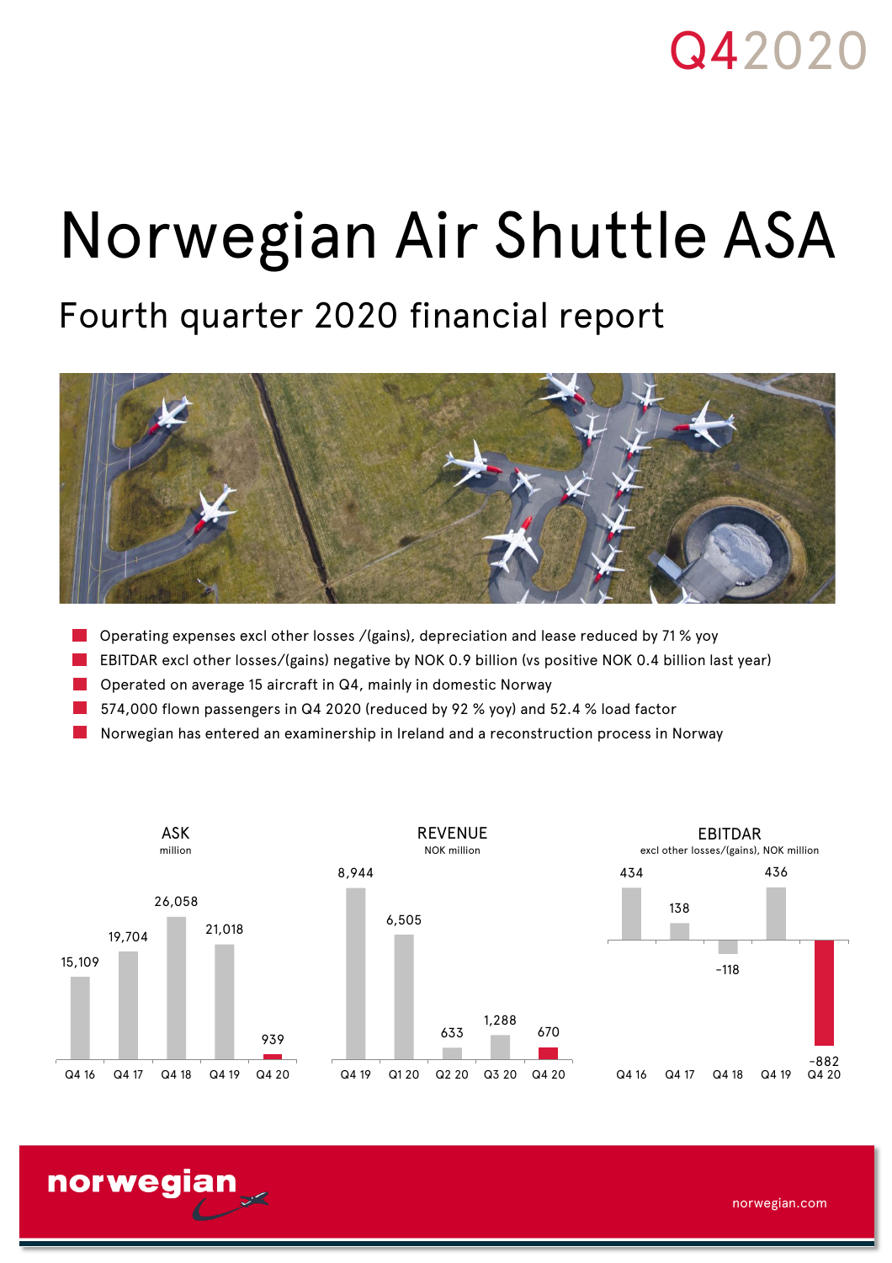# Q42020

# Norwegian Air Shuttle ASA

# Fourth quarter 2020 financial report



- Operating expenses excl other losses /(gains), depreciation and lease reduced by 71 % yoy
- EBITDAR excl other losses/(gains) negative by NOK 0.9 billion (vs positive NOK 0.4 billion last year)
- Operated on average 15 aircraft in Q4, mainly in domestic Norway

norwegian

- 574,000 flown passengers in Q4 2020 (reduced by 92 % yoy) and 52.4 % load factor
- Norwegian has entered an examinership in Ireland and a reconstruction process in Norway



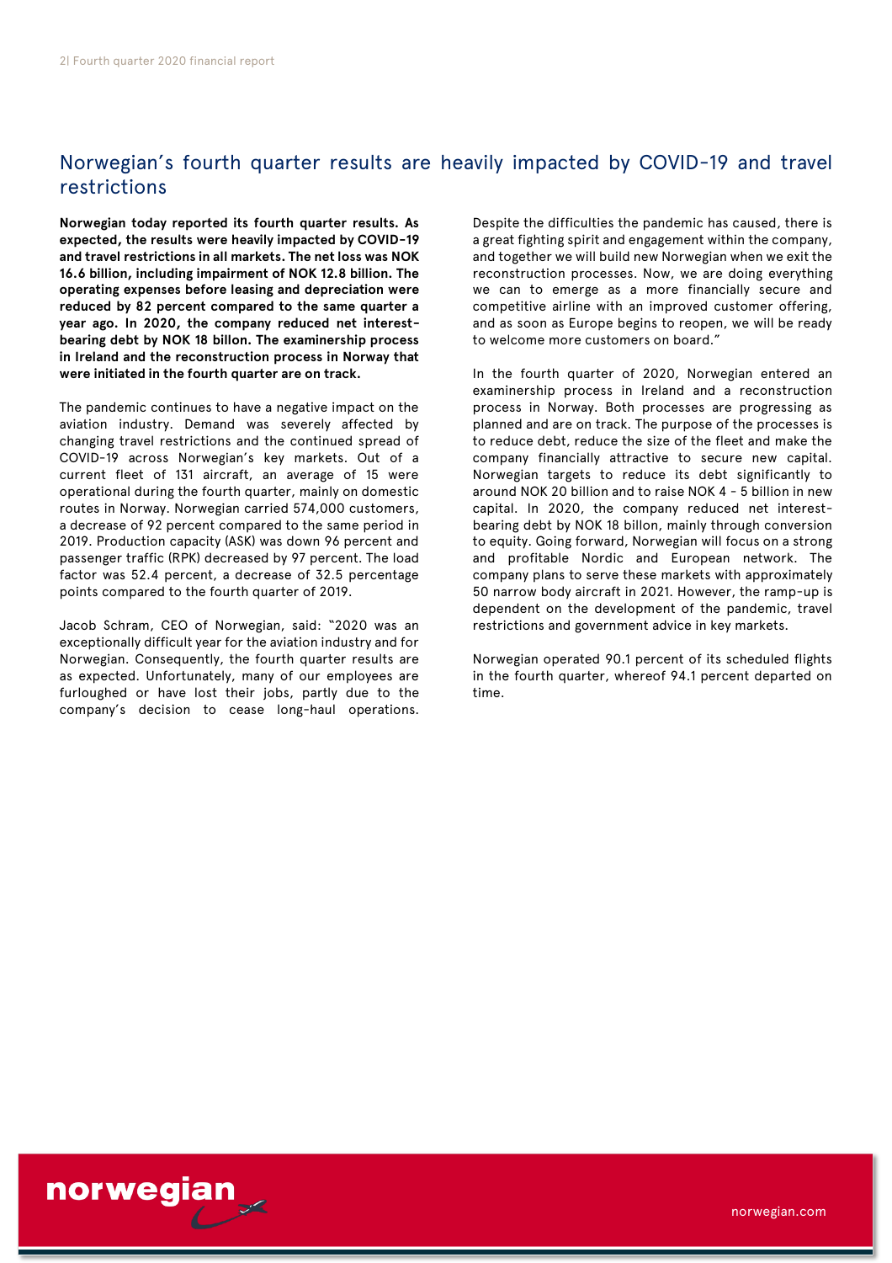# Norwegian's fourth quarter results are heavily impacted by COVID-19 and travel restrictions

**Norwegian today reported its fourth quarter results. As expected, the results were heavily impacted by COVID-19 and travel restrictions in all markets. The net loss was NOK 16.6 billion, including impairment of NOK 12.8 billion. The operating expenses before leasing and depreciation were reduced by 82 percent compared to the same quarter a year ago. In 2020, the company reduced net interestbearing debt by NOK 18 billon. The examinership process in Ireland and the reconstruction process in Norway that were initiated in the fourth quarter are on track.**

The pandemic continues to have a negative impact on the aviation industry. Demand was severely affected by changing travel restrictions and the continued spread of COVID-19 across Norwegian's key markets. Out of a current fleet of 131 aircraft, an average of 15 were operational during the fourth quarter, mainly on domestic routes in Norway. Norwegian carried 574,000 customers, a decrease of 92 percent compared to the same period in 2019. Production capacity (ASK) was down 96 percent and passenger traffic (RPK) decreased by 97 percent. The load factor was 52.4 percent, a decrease of 32.5 percentage points compared to the fourth quarter of 2019.

Jacob Schram, CEO of Norwegian, said: "2020 was an exceptionally difficult year for the aviation industry and for Norwegian. Consequently, the fourth quarter results are as expected. Unfortunately, many of our employees are furloughed or have lost their jobs, partly due to the company's decision to cease long-haul operations. Despite the difficulties the pandemic has caused, there is a great fighting spirit and engagement within the company, and together we will build new Norwegian when we exit the reconstruction processes. Now, we are doing everything we can to emerge as a more financially secure and competitive airline with an improved customer offering, and as soon as Europe begins to reopen, we will be ready to welcome more customers on board."

In the fourth quarter of 2020, Norwegian entered an examinership process in Ireland and a reconstruction process in Norway. Both processes are progressing as planned and are on track. The purpose of the processes is to reduce debt, reduce the size of the fleet and make the company financially attractive to secure new capital. Norwegian targets to reduce its debt significantly to around NOK 20 billion and to raise NOK 4 - 5 billion in new capital. In 2020, the company reduced net interestbearing debt by NOK 18 billon, mainly through conversion to equity. Going forward, Norwegian will focus on a strong and profitable Nordic and European network. The company plans to serve these markets with approximately 50 narrow body aircraft in 2021. However, the ramp-up is dependent on the development of the pandemic, travel restrictions and government advice in key markets.

Norwegian operated 90.1 percent of its scheduled flights in the fourth quarter, whereof 94.1 percent departed on time.

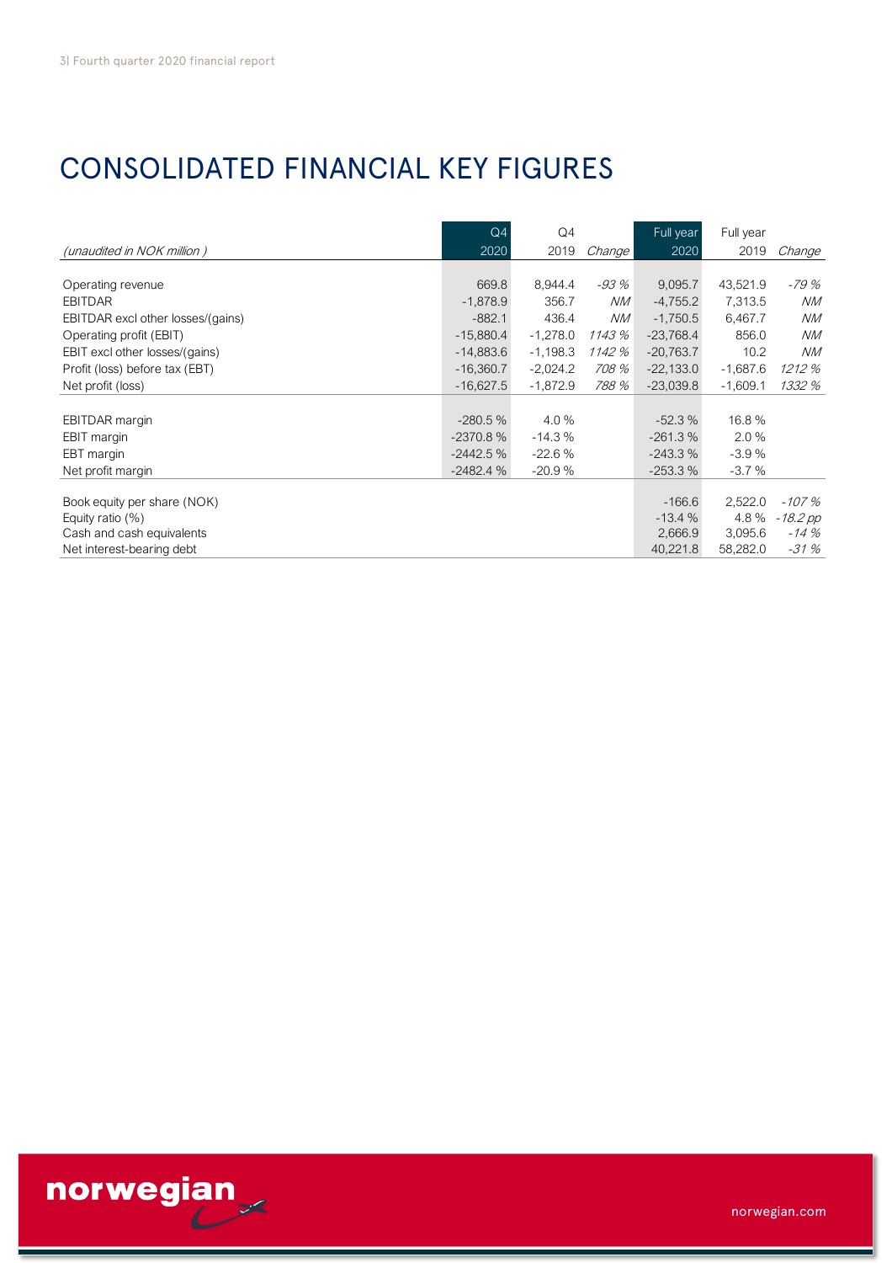# CONSOLIDATED FINANCIAL KEY FIGURES

| CONSOLIDATED FINANCIAL KEY FIGURES |             |            |           |             |            |            |
|------------------------------------|-------------|------------|-----------|-------------|------------|------------|
|                                    |             |            |           |             |            |            |
|                                    | Q4          | Q4         |           | Full year   | Full year  |            |
| (unaudited in NOK million)         | 2020        | 2019       | Change    | 2020        | 2019       | Change     |
|                                    |             |            |           |             |            |            |
| Operating revenue                  | 669.8       | 8,944.4    | -93 %     | 9,095.7     | 43,521.9   | -79 %      |
| <b>EBITDAR</b>                     | $-1,878.9$  | 356.7      | <b>NM</b> | $-4,755.2$  | 7,313.5    | NM         |
| EBITDAR excl other losses/(gains)  | $-882.1$    | 436.4      | <b>NM</b> | $-1,750.5$  | 6,467.7    | NM         |
| Operating profit (EBIT)            | $-15,880.4$ | $-1,278.0$ | 1143 %    | $-23,768.4$ | 856.0      | ΝM         |
| EBIT excl other losses/(gains)     | $-14,883.6$ | $-1,198.3$ | 1142 %    | $-20,763.7$ | 10.2       | NM         |
| Profit (loss) before tax (EBT)     | $-16,360.7$ | $-2,024.2$ | 708 %     | $-22,133.0$ | $-1,687.6$ | 1212 %     |
| Net profit (loss)                  | $-16,627.5$ | $-1,872.9$ | 788 %     | $-23,039.8$ | $-1,609.1$ | 1332 %     |
|                                    |             |            |           |             |            |            |
| <b>EBITDAR</b> margin              | $-280.5%$   | 4.0%       |           | $-52.3%$    | 16.8%      |            |
| EBIT margin                        | $-2370.8%$  | $-14.3%$   |           | $-261.3%$   | 2.0%       |            |
| EBT margin                         | $-2442.5%$  | $-22.6%$   |           | $-243.3%$   | $-3.9%$    |            |
| Net profit margin                  | $-2482.4%$  | $-20.9%$   |           | $-253.3%$   | $-3.7%$    |            |
|                                    |             |            |           |             |            |            |
| Book equity per share (NOK)        |             |            |           | $-166.6$    | 2,522.0    | $-107%$    |
| Equity ratio $(\%)$                |             |            |           | $-13.4%$    | 4.8%       | $-18.2$ pp |
| Cash and cash equivalents          |             |            |           | 2,666.9     | 3,095.6    | $-14%$     |
| Net interest-bearing debt          |             |            |           | 40,221.8    | 58,282.0   | $-31%$     |



norwegian.com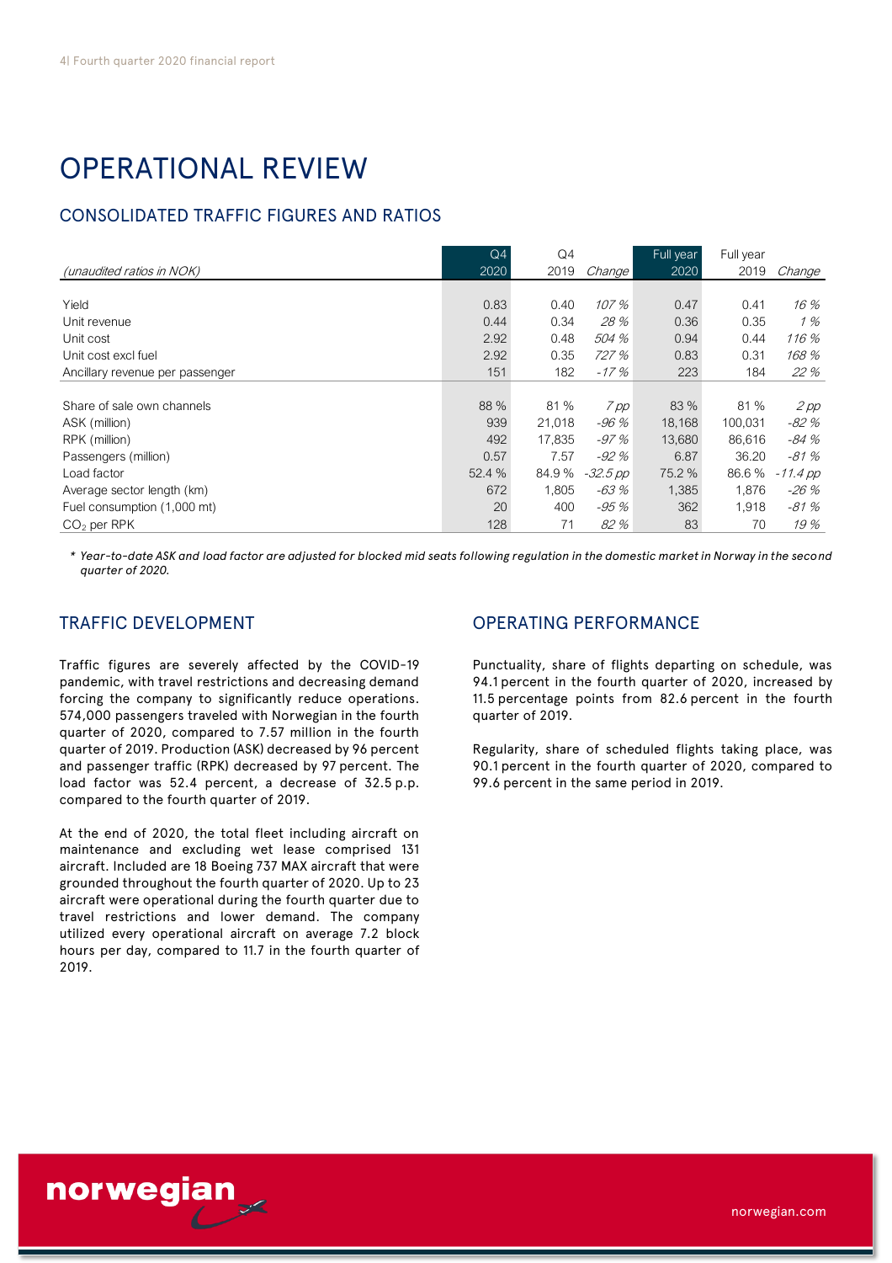# OPERATIONAL REVIEW

# CONSOLIDATED TRAFFIC FIGURES AND RATIOS

| <b>CONSOLIDATED TRAFFIC FIGURES AND RATIOS</b> |                |        |          |           |           |            |
|------------------------------------------------|----------------|--------|----------|-----------|-----------|------------|
|                                                | Q <sub>4</sub> | Q4     |          | Full year | Full year |            |
| (unaudited ratios in NOK)                      | 2020           | 2019   | Change   | 2020      | 2019      | Change     |
| Yield                                          | 0.83           | 0.40   | 107 %    | 0.47      | 0.41      | 16 %       |
| Unit revenue                                   | 0.44           | 0.34   | 28 %     | 0.36      | 0.35      | 1%         |
| Unit cost                                      | 2.92           | 0.48   | 504 %    | 0.94      | 0.44      | 116 %      |
| Unit cost excl fuel                            | 2.92           | 0.35   | 727 %    | 0.83      | 0.31      | 168 %      |
| Ancillary revenue per passenger                | 151            | 182    | $-17%$   | 223       | 184       | 22 %       |
|                                                |                |        |          |           |           |            |
| Share of sale own channels                     | 88 %           | 81 %   | 7 pp     | 83 %      | 81%       | $2$ pp     |
| ASK (million)                                  | 939            | 21,018 | -96 %    | 18,168    | 100,031   | -82 %      |
| RPK (million)                                  | 492            | 17.835 | $-97%$   | 13,680    | 86,616    | -84 %      |
| Passengers (million)                           | 0.57           | 7.57   | $-92%$   | 6.87      | 36.20     | $-81%$     |
| Load factor                                    | 52.4 %         | 84.9%  | -32.5 pp | 75.2 %    | 86.6%     | $-11.4$ pp |
| Average sector length (km)                     | 672            | 1,805  | -63 %    | 1,385     | 1,876     | -26 %      |
| Fuel consumption (1,000 mt)                    | 20             | 400    | -95 %    | 362       | 1,918     | $-81%$     |
| $CO2$ per RPK                                  | 128            | 71     | 82%      | 83        | 70        | 19%        |

*\* Year-to-date ASK and load factor are adjusted for blocked mid seats following regulation in the domestic market in Norway in the second quarter of 2020.*

Traffic figures are severely affected by the COVID-19 pandemic, with travel restrictions and decreasing demand forcing the company to significantly reduce operations. 574,000 passengers traveled with Norwegian in the fourth quarter of 2020, compared to 7.57 million in the fourth quarter of 2019. Production (ASK) decreased by 96 percent and passenger traffic (RPK) decreased by 97 percent. The load factor was 52.4 percent, a decrease of 32.5 p.p. compared to the fourth quarter of 2019.

At the end of 2020, the total fleet including aircraft on maintenance and excluding wet lease comprised 131 aircraft. Included are 18 Boeing 737 MAX aircraft that were grounded throughout the fourth quarter of 2020. Up to 23 aircraft were operational during the fourth quarter due to travel restrictions and lower demand. The company utilized every operational aircraft on average 7.2 block hours per day, compared to 11.7 in the fourth quarter of 2019.

# TRAFFIC DEVELOPMENT **TRAFFIC DEVELOPMENT** OPERATING PERFORMANCE

Punctuality, share of flights departing on schedule, was 94.1 percent in the fourth quarter of 2020, increased by 11.5 percentage points from 82.6 percent in the fourth quarter of 2019.

Regularity, share of scheduled flights taking place, was 90.1 percent in the fourth quarter of 2020, compared to 99.6 percent in the same period in 2019.

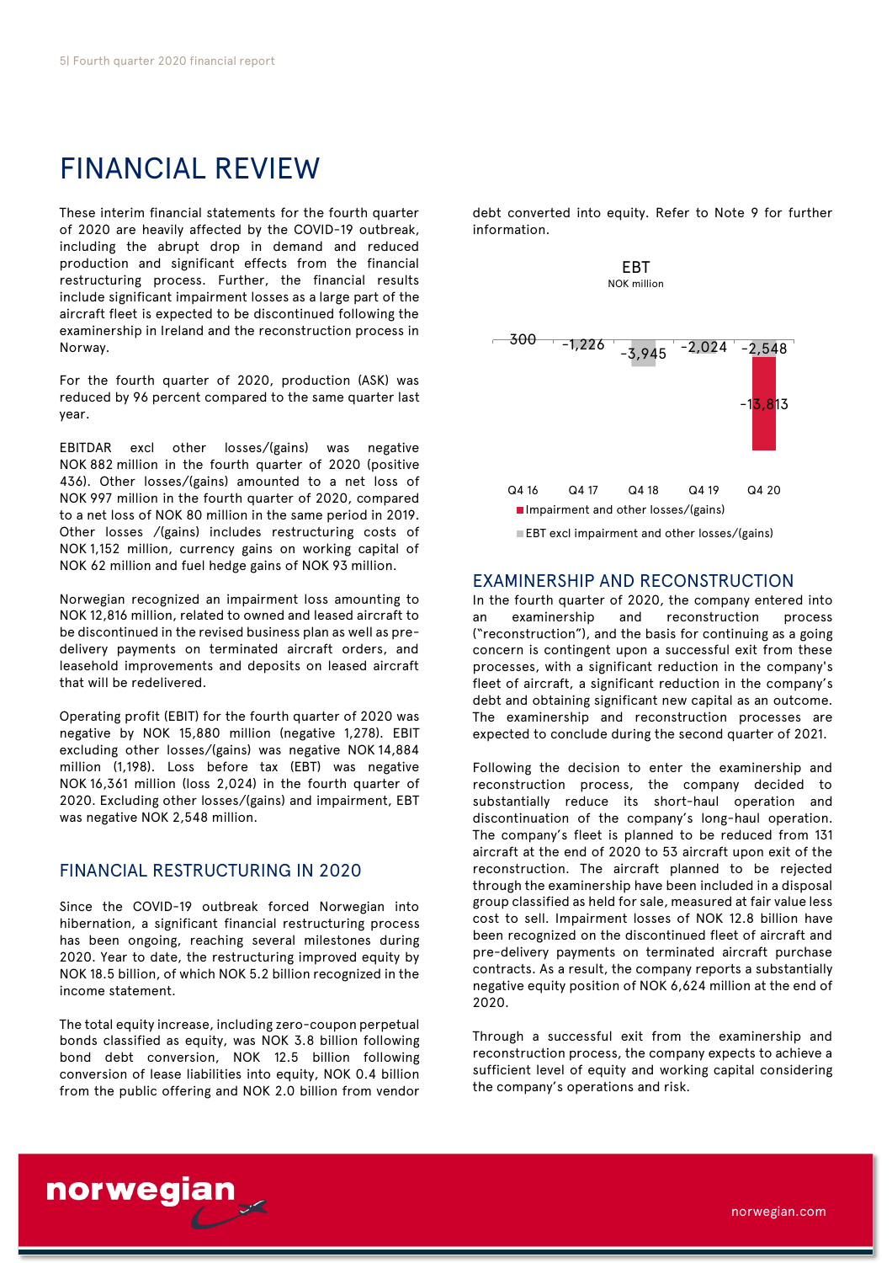# FINANCIAL REVIEW

These interim financial statements for the fourth quarter of 2020 are heavily affected by the COVID-19 outbreak, including the abrupt drop in demand and reduced production and significant effects from the financial restructuring process. Further, the financial results include significant impairment losses as a large part of the aircraft fleet is expected to be discontinued following the examinership in Ireland and the reconstruction process in Norway.

For the fourth quarter of 2020, production (ASK) was reduced by 96 percent compared to the same quarter last year.

EBITDAR excl other losses/(gains) was negative NOK 882 million in the fourth quarter of 2020 (positive 436). Other losses/(gains) amounted to a net loss of NOK 997 million in the fourth quarter of 2020, compared to a net loss of NOK 80 million in the same period in 2019. Other losses /(gains) includes restructuring costs of NOK 1,152 million, currency gains on working capital of NOK 62 million and fuel hedge gains of NOK 93 million.

Norwegian recognized an impairment loss amounting to NOK 12,816 million, related to owned and leased aircraft to be discontinued in the revised business plan as well as predelivery payments on terminated aircraft orders, and leasehold improvements and deposits on leased aircraft that will be redelivered.

Operating profit (EBIT) for the fourth quarter of 2020 was negative by NOK 15,880 million (negative 1,278). EBIT excluding other losses/(gains) was negative NOK 14,884 million (1,198). Loss before tax (EBT) was negative NOK 16,361 million (loss 2,024) in the fourth quarter of 2020. Excluding other losses/(gains) and impairment, EBT was negative NOK 2,548 million.

# FINANCIAL RESTRUCTURING IN 2020

Since the COVID-19 outbreak forced Norwegian into hibernation, a significant financial restructuring process has been ongoing, reaching several milestones during 2020. Year to date, the restructuring improved equity by NOK 18.5 billion, of which NOK 5.2 billion recognized in the income statement.

The total equity increase, including zero-coupon perpetual bonds classified as equity, was NOK 3.8 billion following bond debt conversion, NOK 12.5 billion following conversion of lease liabilities into equity, NOK 0.4 billion from the public offering and NOK 2.0 billion from vendor

debt converted into equity. Refer to Note 9 for further information.

EBT



### EXAMINERSHIP AND RECONSTRUCTION

In the fourth quarter of 2020, the company entered into an examinership and reconstruction process ("reconstruction"), and the basis for continuing as a going concern is contingent upon a successful exit from these processes, with a significant reduction in the company's fleet of aircraft, a significant reduction in the company's debt and obtaining significant new capital as an outcome. The examinership and reconstruction processes are expected to conclude during the second quarter of 2021.

Following the decision to enter the examinership and reconstruction process, the company decided to substantially reduce its short-haul operation and discontinuation of the company's long-haul operation. The company's fleet is planned to be reduced from 131 aircraft at the end of 2020 to 53 aircraft upon exit of the reconstruction. The aircraft planned to be rejected through the examinership have been included in a disposal group classified as held for sale, measured at fair value less cost to sell. Impairment losses of NOK 12.8 billion have been recognized on the discontinued fleet of aircraft and pre-delivery payments on terminated aircraft purchase contracts. As a result, the company reports a substantially negative equity position of NOK 6,624 million at the end of 2020.

Through a successful exit from the examinership and reconstruction process, the company expects to achieve a sufficient level of equity and working capital considering the company's operations and risk.

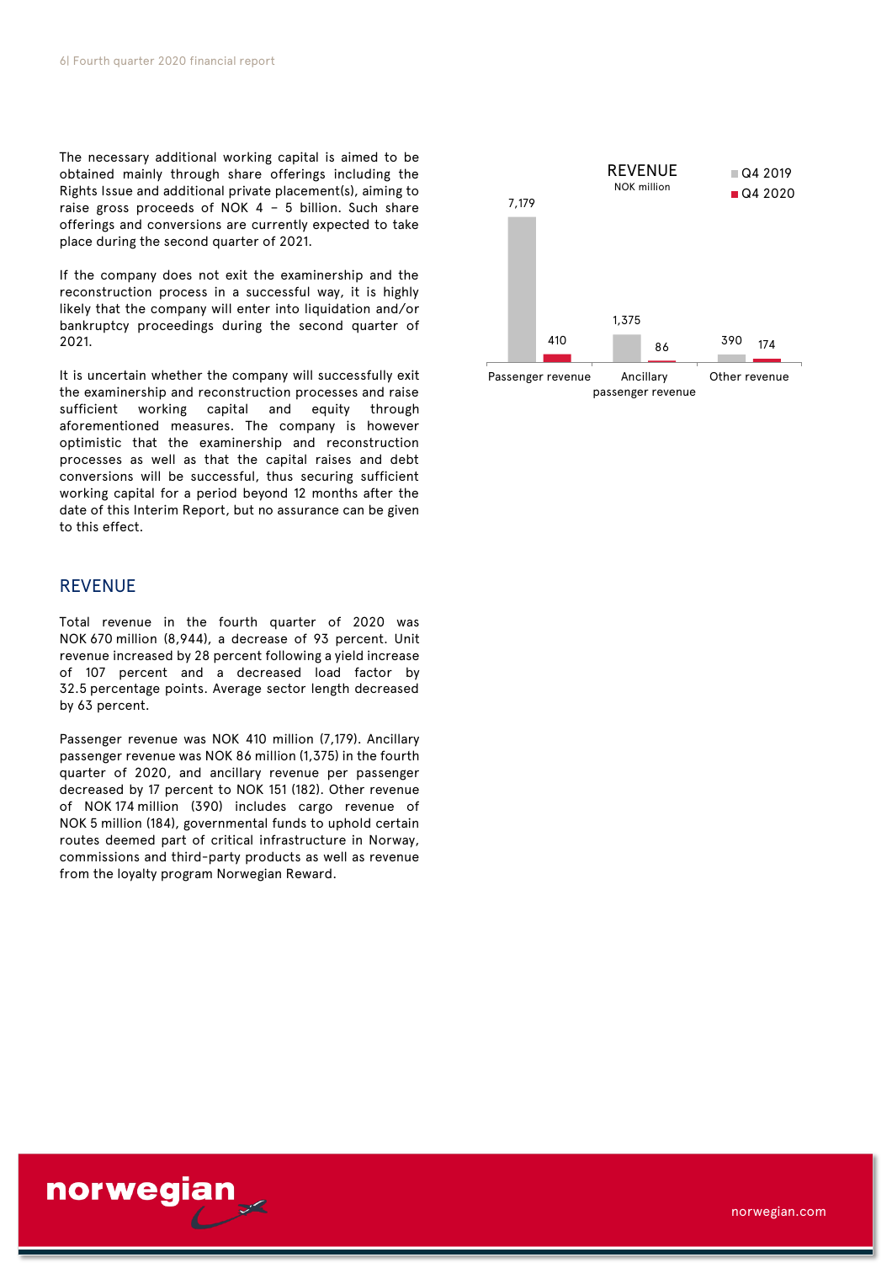The necessary additional working capital is aimed to be obtained mainly through share offerings including the Rights Issue and additional private placement(s), aiming to raise gross proceeds of NOK 4 – 5 billion. Such share offerings and conversions are currently expected to take place during the second quarter of 2021.

If the company does not exit the examinership and the reconstruction process in a successful way, it is highly likely that the company will enter into liquidation and/or bankruptcy proceedings during the second quarter of 2021.

It is uncertain whether the company will successfully exit the examinership and reconstruction processes and raise sufficient working capital and equity through aforementioned measures. The company is however optimistic that the examinership and reconstruction processes as well as that the capital raises and debt conversions will be successful, thus securing sufficient working capital for a period beyond 12 months after the date of this Interim Report, but no assurance can be given to this effect.

# **REVENUE**

Total revenue in the fourth quarter of 2020 was NOK 670 million (8,944), a decrease of 93 percent. Unit revenue increased by 28 percent following a yield increase of 107 percent and a decreased load factor by 32.5 percentage points. Average sector length decreased by 63 percent.

Passenger revenue was NOK 410 million (7,179). Ancillary passenger revenue was NOK 86 million (1,375) in the fourth quarter of 2020, and ancillary revenue per passenger decreased by 17 percent to NOK 151 (182). Other revenue of NOK 174 million (390) includes cargo revenue of NOK 5 million (184), governmental funds to uphold certain routes deemed part of critical infrastructure in Norway, commissions and third-party products as well as revenue from the loyalty program Norwegian Reward.



passenger revenue



norwegian.com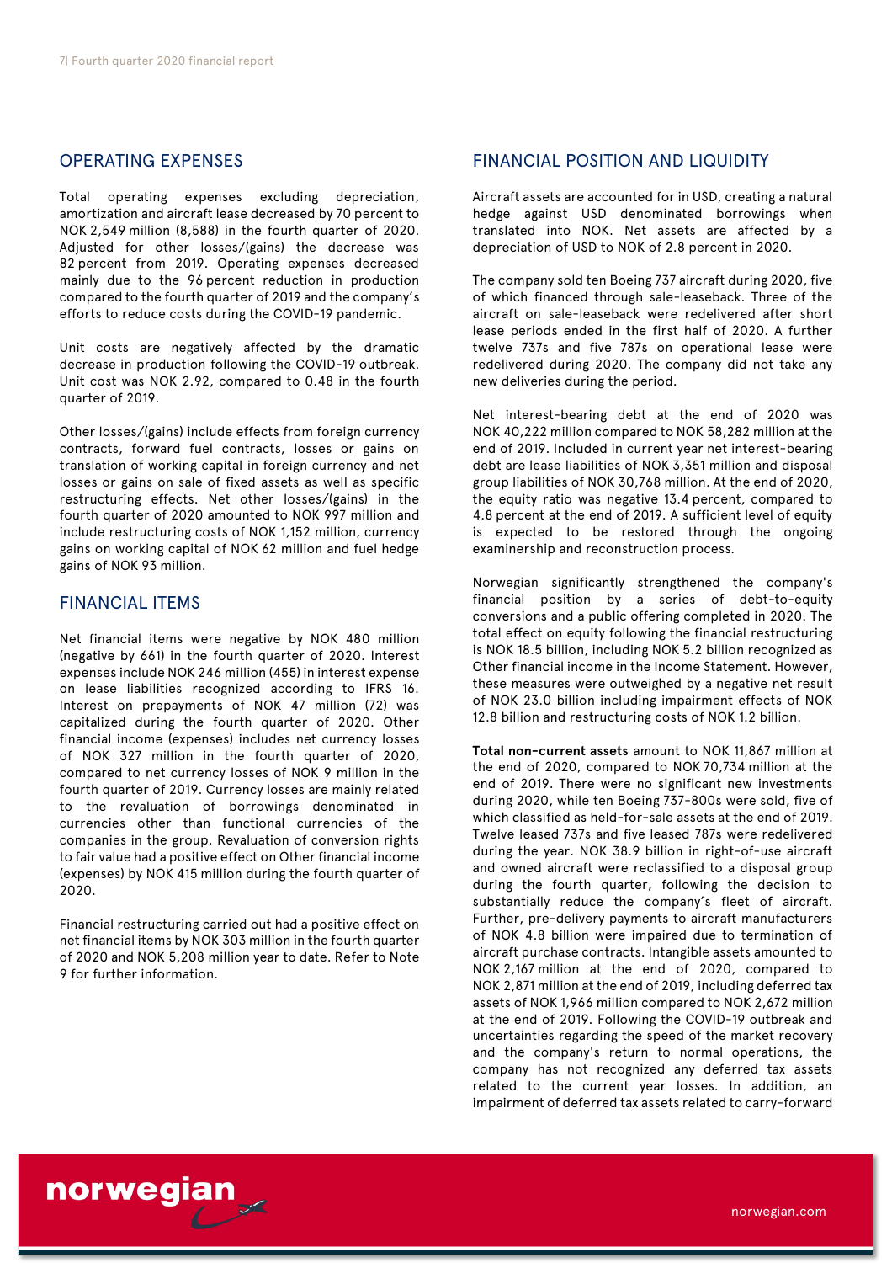# OPERATING EXPENSES

Total operating expenses excluding depreciation, amortization and aircraft lease decreased by 70 percent to NOK 2,549 million (8,588) in the fourth quarter of 2020. Adjusted for other losses/(gains) the decrease was 82 percent from 2019. Operating expenses decreased mainly due to the 96 percent reduction in production compared to the fourth quarter of 2019 and the company's efforts to reduce costs during the COVID-19 pandemic.

Unit costs are negatively affected by the dramatic decrease in production following the COVID-19 outbreak. Unit cost was NOK 2.92, compared to 0.48 in the fourth quarter of 2019.

Other losses/(gains) include effects from foreign currency contracts, forward fuel contracts, losses or gains on translation of working capital in foreign currency and net losses or gains on sale of fixed assets as well as specific restructuring effects. Net other losses/(gains) in the fourth quarter of 2020 amounted to NOK 997 million and include restructuring costs of NOK 1,152 million, currency gains on working capital of NOK 62 million and fuel hedge gains of NOK 93 million.

# FINANCIAL ITEMS

Net financial items were negative by NOK 480 million (negative by 661) in the fourth quarter of 2020. Interest expenses include NOK 246 million (455) in interest expense on lease liabilities recognized according to IFRS 16. Interest on prepayments of NOK 47 million (72) was capitalized during the fourth quarter of 2020. Other financial income (expenses) includes net currency losses of NOK 327 million in the fourth quarter of 2020, compared to net currency losses of NOK 9 million in the fourth quarter of 2019. Currency losses are mainly related to the revaluation of borrowings denominated in currencies other than functional currencies of the companies in the group. Revaluation of conversion rights to fair value had a positive effect on Other financial income (expenses) by NOK 415 million during the fourth quarter of 2020.

Financial restructuring carried out had a positive effect on net financial items by NOK 303 million in the fourth quarter of 2020 and NOK 5,208 million year to date. Refer to Note 9 for further information.

# FINANCIAL POSITION AND LIQUIDITY

Aircraft assets are accounted for in USD, creating a natural hedge against USD denominated borrowings when translated into NOK. Net assets are affected by a depreciation of USD to NOK of 2.8 percent in 2020.

The company sold ten Boeing 737 aircraft during 2020, five of which financed through sale-leaseback. Three of the aircraft on sale-leaseback were redelivered after short lease periods ended in the first half of 2020. A further twelve 737s and five 787s on operational lease were redelivered during 2020. The company did not take any new deliveries during the period.

Net interest-bearing debt at the end of 2020 was NOK 40,222 million compared to NOK 58,282 million at the end of 2019. Included in current year net interest-bearing debt are lease liabilities of NOK 3,351 million and disposal group liabilities of NOK 30,768 million. At the end of 2020, the equity ratio was negative 13.4 percent, compared to 4.8 percent at the end of 2019. A sufficient level of equity is expected to be restored through the ongoing examinership and reconstruction process.

Norwegian significantly strengthened the company's financial position by a series of debt-to-equity conversions and a public offering completed in 2020. The total effect on equity following the financial restructuring is NOK 18.5 billion, including NOK 5.2 billion recognized as Other financial income in the Income Statement. However, these measures were outweighed by a negative net result of NOK 23.0 billion including impairment effects of NOK 12.8 billion and restructuring costs of NOK 1.2 billion.

**Total non-current assets** amount to NOK 11,867 million at the end of 2020, compared to NOK 70,734 million at the end of 2019. There were no significant new investments during 2020, while ten Boeing 737-800s were sold, five of which classified as held-for-sale assets at the end of 2019. Twelve leased 737s and five leased 787s were redelivered during the year. NOK 38.9 billion in right-of-use aircraft and owned aircraft were reclassified to a disposal group during the fourth quarter, following the decision to substantially reduce the company's fleet of aircraft. Further, pre-delivery payments to aircraft manufacturers of NOK 4.8 billion were impaired due to termination of aircraft purchase contracts. Intangible assets amounted to NOK 2,167 million at the end of 2020, compared to NOK 2,871 million at the end of 2019, including deferred tax assets of NOK 1,966 million compared to NOK 2,672 million at the end of 2019. Following the COVID-19 outbreak and uncertainties regarding the speed of the market recovery and the company's return to normal operations, the company has not recognized any deferred tax assets related to the current year losses. In addition, an impairment of deferred tax assets related to carry-forward

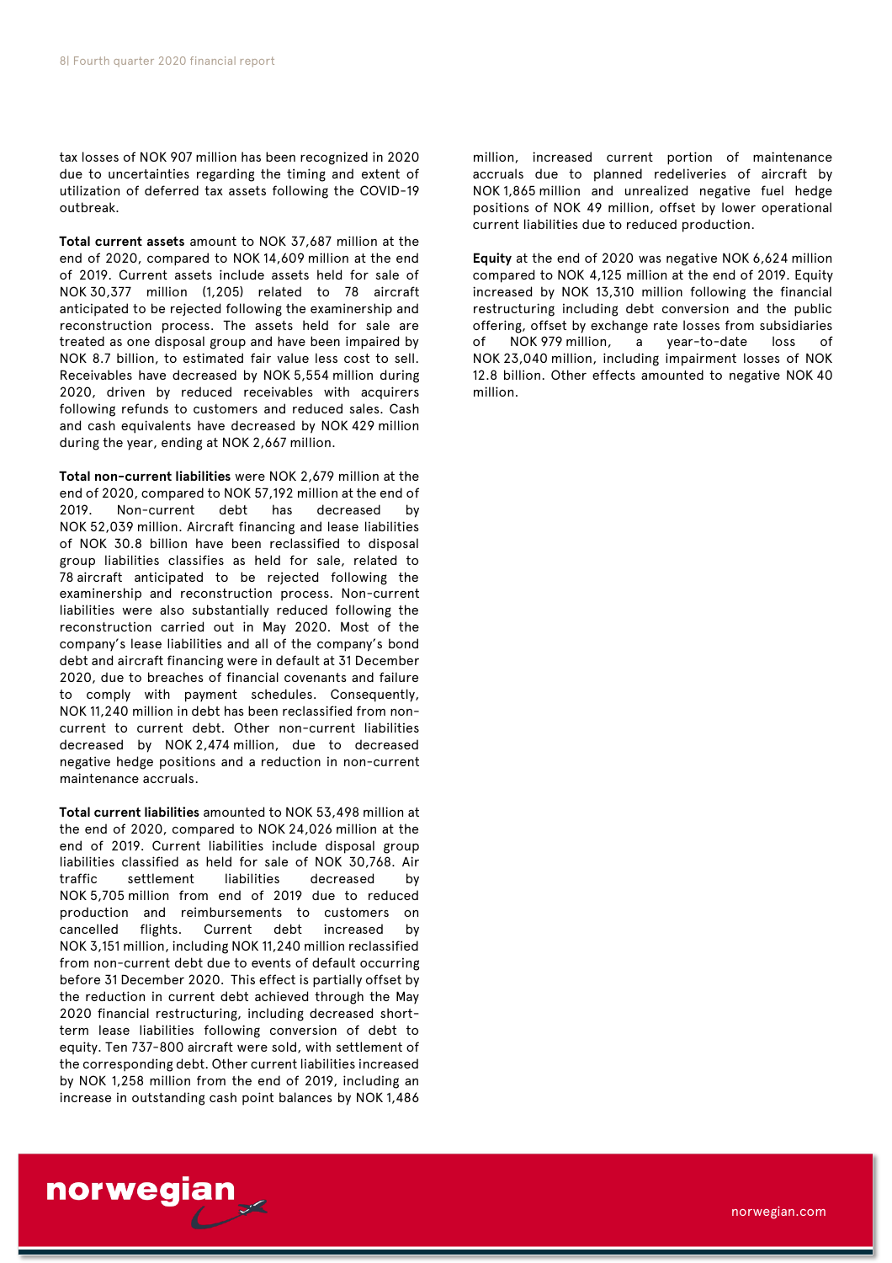tax losses of NOK 907 million has been recognized in 2020 due to uncertainties regarding the timing and extent of utilization of deferred tax assets following the COVID-19 outbreak.

**Total current assets** amount to NOK 37,687 million at the end of 2020, compared to NOK 14,609 million at the end of 2019. Current assets include assets held for sale of NOK 30,377 million (1,205) related to 78 aircraft anticipated to be rejected following the examinership and reconstruction process. The assets held for sale are treated as one disposal group and have been impaired by NOK 8.7 billion, to estimated fair value less cost to sell. Receivables have decreased by NOK 5,554 million during 2020, driven by reduced receivables with acquirers following refunds to customers and reduced sales. Cash and cash equivalents have decreased by NOK 429 million during the year, ending at NOK 2,667 million.

**Total non-current liabilities** were NOK 2,679 million at the end of 2020, compared to NOK 57,192 million at the end of 2019. Non-current debt has decreased by NOK 52,039 million. Aircraft financing and lease liabilities of NOK 30.8 billion have been reclassified to disposal group liabilities classifies as held for sale, related to 78 aircraft anticipated to be rejected following the examinership and reconstruction process. Non-current liabilities were also substantially reduced following the reconstruction carried out in May 2020. Most of the company's lease liabilities and all of the company's bond debt and aircraft financing were in default at 31 December 2020, due to breaches of financial covenants and failure to comply with payment schedules. Consequently, NOK 11,240 million in debt has been reclassified from noncurrent to current debt. Other non-current liabilities decreased by NOK 2,474 million, due to decreased negative hedge positions and a reduction in non-current maintenance accruals.

**Total current liabilities** amounted to NOK 53,498 million at the end of 2020, compared to NOK 24,026 million at the end of 2019. Current liabilities include disposal group liabilities classified as held for sale of NOK 30,768. Air traffic settlement liabilities decreased by NOK 5,705 million from end of 2019 due to reduced production and reimbursements to customers on cancelled flights. Current debt increased by NOK 3,151 million, including NOK 11,240 million reclassified from non-current debt due to events of default occurring before 31 December 2020. This effect is partially offset by the reduction in current debt achieved through the May 2020 financial restructuring, including decreased shortterm lease liabilities following conversion of debt to equity. Ten 737-800 aircraft were sold, with settlement of the corresponding debt. Other current liabilities increased by NOK 1,258 million from the end of 2019, including an increase in outstanding cash point balances by NOK 1,486

norwegian

million, increased current portion of maintenance accruals due to planned redeliveries of aircraft by NOK 1,865 million and unrealized negative fuel hedge positions of NOK 49 million, offset by lower operational current liabilities due to reduced production.

**Equity** at the end of 2020 was negative NOK 6,624 million compared to NOK 4,125 million at the end of 2019. Equity increased by NOK 13,310 million following the financial restructuring including debt conversion and the public offering, offset by exchange rate losses from subsidiaries of NOK 979 million, a year-to-date loss of NOK 23,040 million, including impairment losses of NOK 12.8 billion. Other effects amounted to negative NOK 40 million.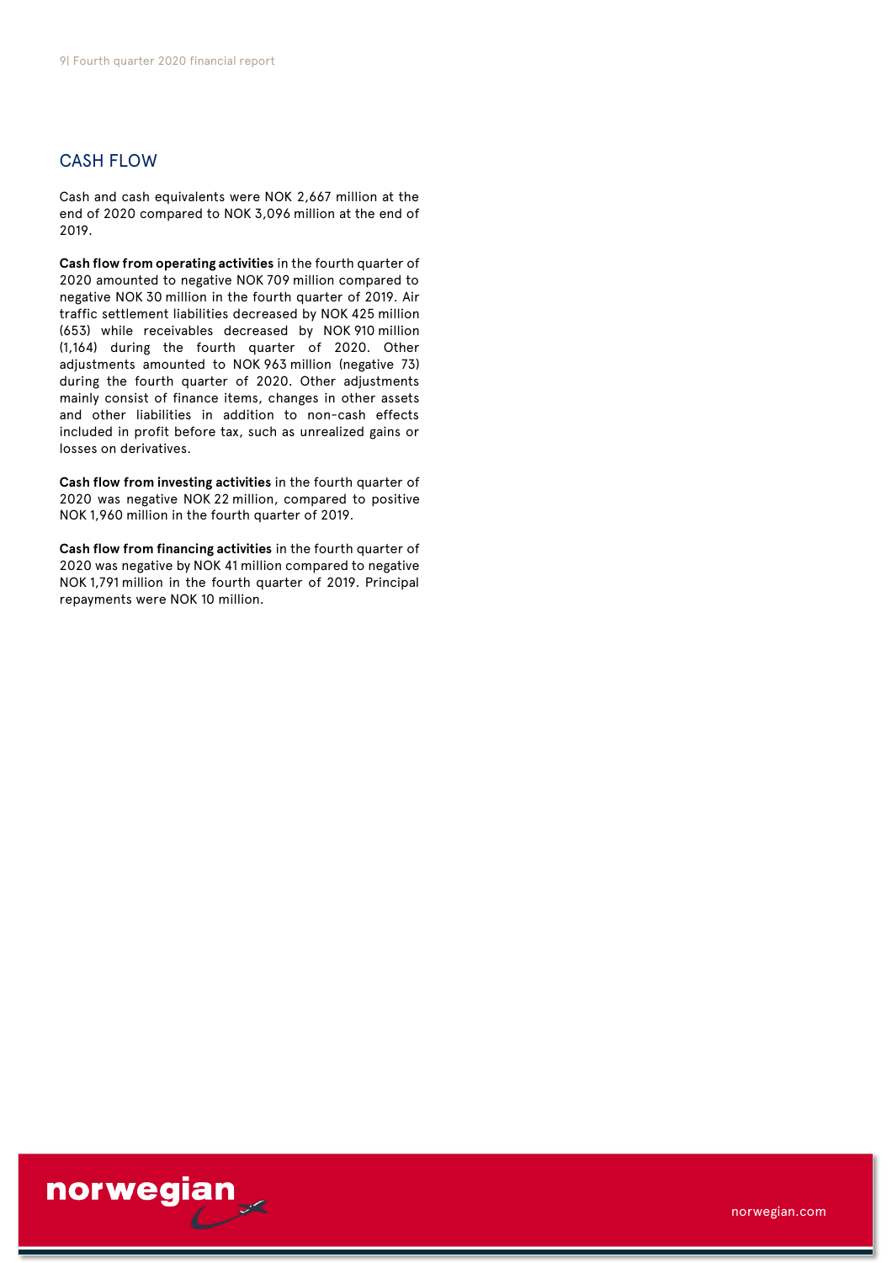# CASH FLOW

Cash and cash equivalents were NOK 2,667 million at the end of 2020 compared to NOK 3,096 million at the end of 2019.

**Cash flow from operating activities** in the fourth quarter of 2020 amounted to negative NOK 709 million compared to negative NOK 30 million in the fourth quarter of 2019. Air traffic settlement liabilities decreased by NOK 425 million (653) while receivables decreased by NOK 910 million (1,164) during the fourth quarter of 2020. Other adjustments amounted to NOK 963 million (negative 73) during the fourth quarter of 2020. Other adjustments mainly consist of finance items, changes in other assets and other liabilities in addition to non-cash effects included in profit before tax, such as unrealized gains or losses on derivatives.

**Cash flow from investing activities** in the fourth quarter of 2020 was negative NOK 22 million, compared to positive NOK 1,960 million in the fourth quarter of 2019.

**Cash flow from financing activities** in the fourth quarter of 2020 was negative by NOK 41 million compared to negative NOK 1,791 million in the fourth quarter of 2019. Principal repayments were NOK 10 million.

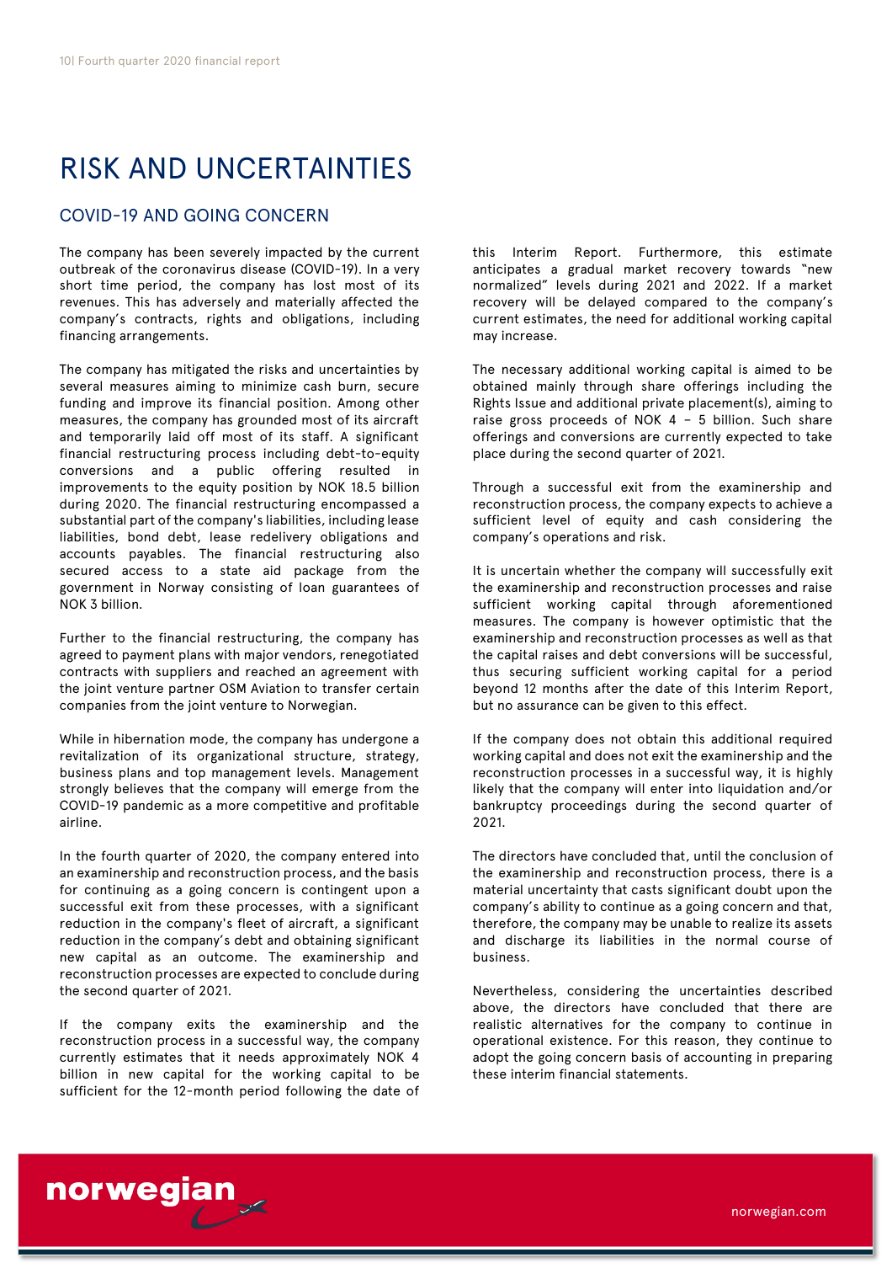# RISK AND UNCERTAINTIES

# COVID-19 AND GOING CONCERN

The company has been severely impacted by the current outbreak of the coronavirus disease (COVID-19). In a very short time period, the company has lost most of its revenues. This has adversely and materially affected the company's contracts, rights and obligations, including financing arrangements.

The company has mitigated the risks and uncertainties by several measures aiming to minimize cash burn, secure funding and improve its financial position. Among other measures, the company has grounded most of its aircraft and temporarily laid off most of its staff. A significant financial restructuring process including debt-to-equity conversions and a public offering resulted in improvements to the equity position by NOK 18.5 billion during 2020. The financial restructuring encompassed a substantial part of the company's liabilities, including lease liabilities, bond debt, lease redelivery obligations and accounts payables. The financial restructuring also secured access to a state aid package from the government in Norway consisting of loan guarantees of NOK 3 billion.

Further to the financial restructuring, the company has agreed to payment plans with major vendors, renegotiated contracts with suppliers and reached an agreement with the joint venture partner OSM Aviation to transfer certain companies from the joint venture to Norwegian.

While in hibernation mode, the company has undergone a revitalization of its organizational structure, strategy, business plans and top management levels. Management strongly believes that the company will emerge from the COVID-19 pandemic as a more competitive and profitable airline.

In the fourth quarter of 2020, the company entered into an examinership and reconstruction process, and the basis for continuing as a going concern is contingent upon a successful exit from these processes, with a significant reduction in the company's fleet of aircraft, a significant reduction in the company's debt and obtaining significant new capital as an outcome. The examinership and reconstruction processes are expected to conclude during the second quarter of 2021.

If the company exits the examinership and the reconstruction process in a successful way, the company currently estimates that it needs approximately NOK 4 billion in new capital for the working capital to be sufficient for the 12-month period following the date of

norwegian

this Interim Report. Furthermore, this estimate anticipates a gradual market recovery towards "new normalized" levels during 2021 and 2022. If a market recovery will be delayed compared to the company's current estimates, the need for additional working capital may increase.

The necessary additional working capital is aimed to be obtained mainly through share offerings including the Rights Issue and additional private placement(s), aiming to raise gross proceeds of NOK 4 – 5 billion. Such share offerings and conversions are currently expected to take place during the second quarter of 2021.

Through a successful exit from the examinership and reconstruction process, the company expects to achieve a sufficient level of equity and cash considering the company's operations and risk.

It is uncertain whether the company will successfully exit the examinership and reconstruction processes and raise sufficient working capital through aforementioned measures. The company is however optimistic that the examinership and reconstruction processes as well as that the capital raises and debt conversions will be successful, thus securing sufficient working capital for a period beyond 12 months after the date of this Interim Report, but no assurance can be given to this effect.

If the company does not obtain this additional required working capital and does not exit the examinership and the reconstruction processes in a successful way, it is highly likely that the company will enter into liquidation and/or bankruptcy proceedings during the second quarter of 2021.

The directors have concluded that, until the conclusion of the examinership and reconstruction process, there is a material uncertainty that casts significant doubt upon the company's ability to continue as a going concern and that, therefore, the company may be unable to realize its assets and discharge its liabilities in the normal course of business.

Nevertheless, considering the uncertainties described above, the directors have concluded that there are realistic alternatives for the company to continue in operational existence. For this reason, they continue to adopt the going concern basis of accounting in preparing these interim financial statements.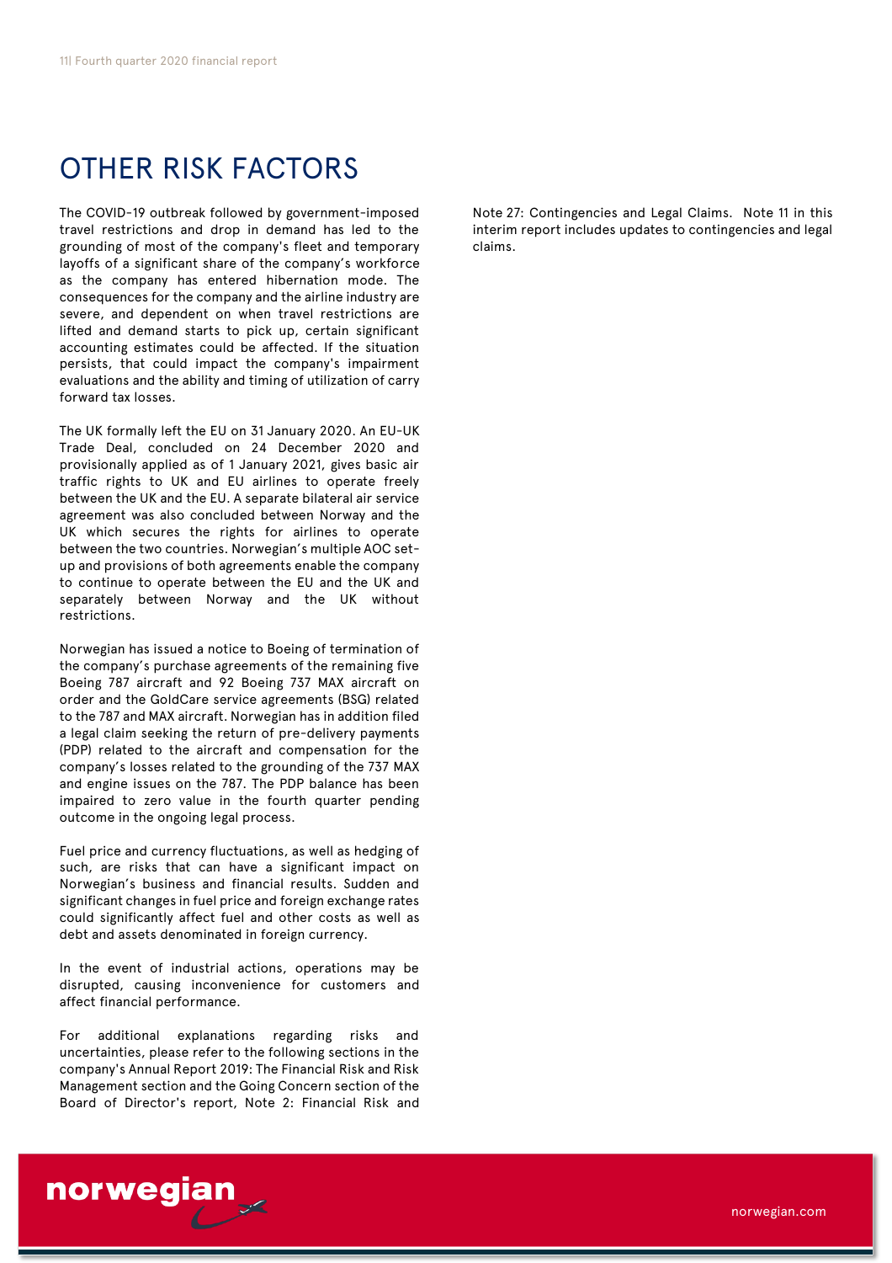# OTHER RISK FACTORS

The COVID-19 outbreak followed by government-imposed travel restrictions and drop in demand has led to the grounding of most of the company's fleet and temporary layoffs of a significant share of the company's workforce as the company has entered hibernation mode. The consequences for the company and the airline industry are severe, and dependent on when travel restrictions are lifted and demand starts to pick up, certain significant accounting estimates could be affected. If the situation persists, that could impact the company's impairment evaluations and the ability and timing of utilization of carry forward tax losses.

The UK formally left the EU on 31 January 2020. An EU-UK Trade Deal, concluded on 24 December 2020 and provisionally applied as of 1 January 2021, gives basic air traffic rights to UK and EU airlines to operate freely between the UK and the EU. A separate bilateral air service agreement was also concluded between Norway and the UK which secures the rights for airlines to operate between the two countries. Norwegian's multiple AOC setup and provisions of both agreements enable the company to continue to operate between the EU and the UK and separately between Norway and the UK without restrictions.

Norwegian has issued a notice to Boeing of termination of the company's purchase agreements of the remaining five Boeing 787 aircraft and 92 Boeing 737 MAX aircraft on order and the GoldCare service agreements (BSG) related to the 787 and MAX aircraft. Norwegian has in addition filed a legal claim seeking the return of pre-delivery payments (PDP) related to the aircraft and compensation for the company's losses related to the grounding of the 737 MAX and engine issues on the 787. The PDP balance has been impaired to zero value in the fourth quarter pending outcome in the ongoing legal process.

Fuel price and currency fluctuations, as well as hedging of such, are risks that can have a significant impact on Norwegian's business and financial results. Sudden and significant changes in fuel price and foreign exchange rates could significantly affect fuel and other costs as well as debt and assets denominated in foreign currency.

In the event of industrial actions, operations may be disrupted, causing inconvenience for customers and affect financial performance.

For additional explanations regarding risks and uncertainties, please refer to the following sections in the company's Annual Report 2019: The Financial Risk and Risk Management section and the Going Concern section of the Board of Director's report, Note 2: Financial Risk and

Note 27: Contingencies and Legal Claims. Note 11 in this interim report includes updates to contingencies and legal claims.

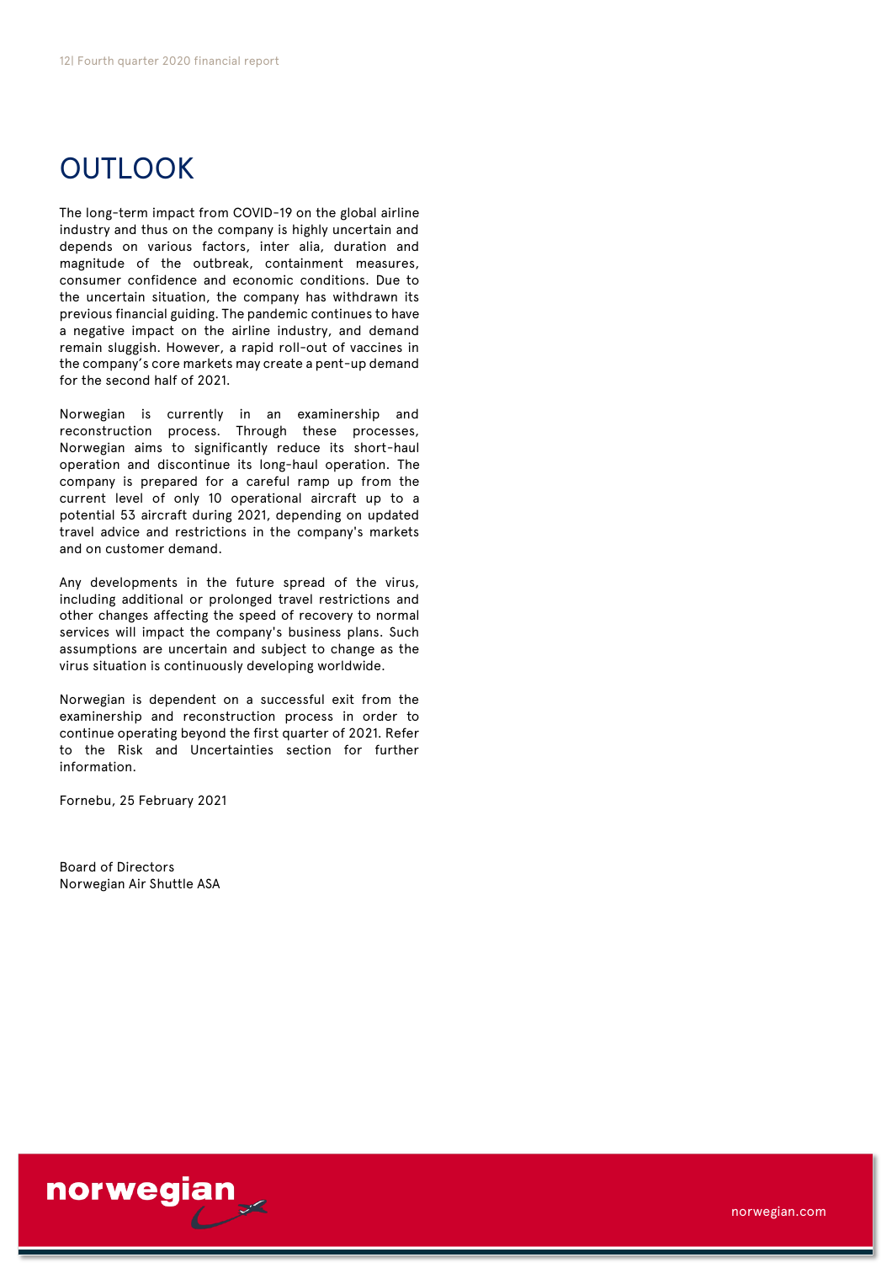# **OUTLOOK**

The long-term impact from COVID-19 on the global airline industry and thus on the company is highly uncertain and depends on various factors, inter alia, duration and magnitude of the outbreak, containment measures, consumer confidence and economic conditions. Due to the uncertain situation, the company has withdrawn its previous financial guiding. The pandemic continues to have a negative impact on the airline industry, and demand remain sluggish. However, a rapid roll-out of vaccines in the company's core markets may create a pent-up demand for the second half of 2021.

Norwegian is currently in an examinership and reconstruction process. Through these processes, Norwegian aims to significantly reduce its short-haul operation and discontinue its long-haul operation. The company is prepared for a careful ramp up from the current level of only 10 operational aircraft up to a potential 53 aircraft during 2021, depending on updated travel advice and restrictions in the company's markets and on customer demand.

Any developments in the future spread of the virus, including additional or prolonged travel restrictions and other changes affecting the speed of recovery to normal services will impact the company's business plans. Such assumptions are uncertain and subject to change as the virus situation is continuously developing worldwide.

Norwegian is dependent on a successful exit from the examinership and reconstruction process in order to continue operating beyond the first quarter of 2021. Refer to the Risk and Uncertainties section for further information.

Fornebu, 25 February 2021

Board of Directors Norwegian Air Shuttle ASA

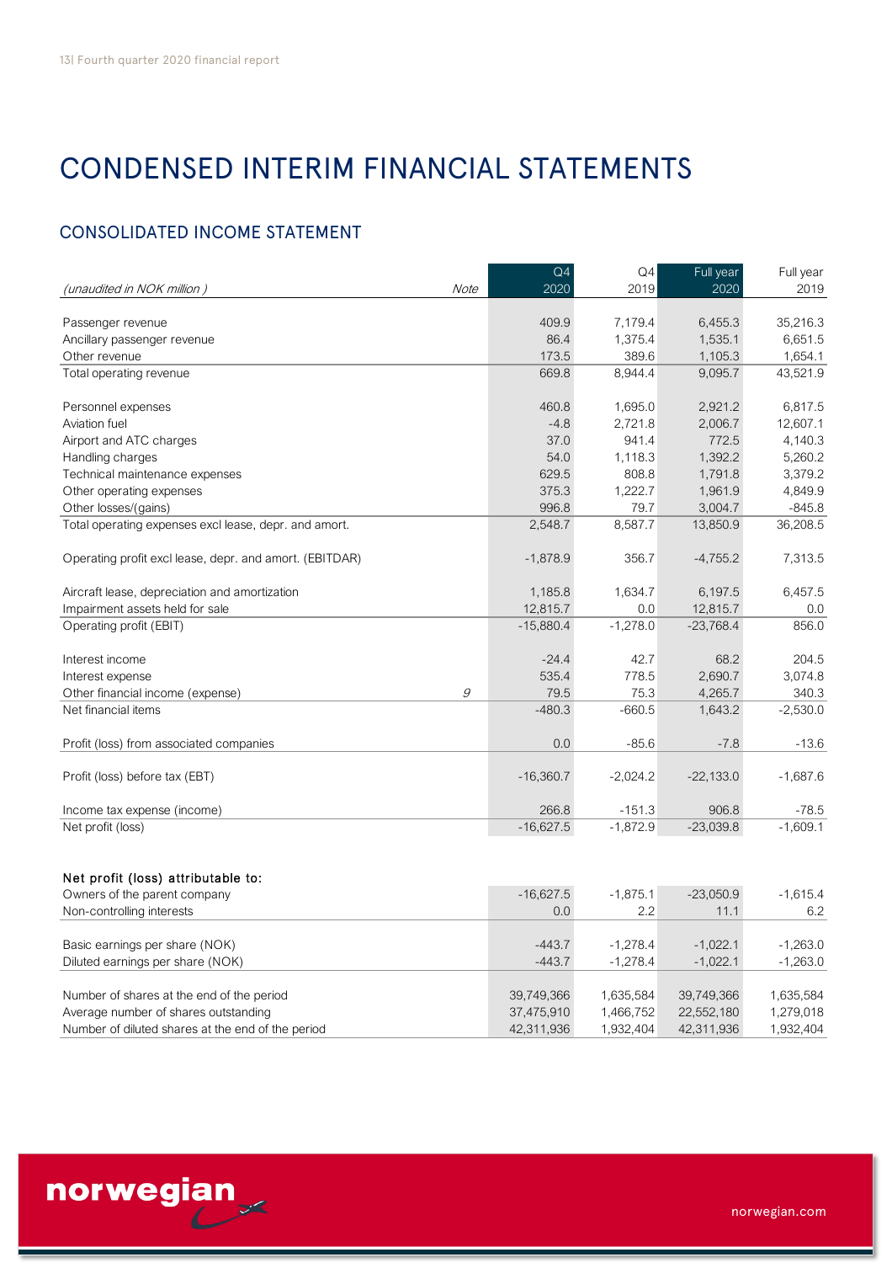# CONDENSED INTERIM FINANCIAL STATEMENTS

# CONSOLIDATED INCOME STATEMENT

| <b>CONSOLIDATED INCOME STATEMENT</b>                    |      |                        |                        |                   |                   |
|---------------------------------------------------------|------|------------------------|------------------------|-------------------|-------------------|
| (unaudited in NOK million)                              | Note | Q <sub>4</sub><br>2020 | Q <sub>4</sub><br>2019 | Full year<br>2020 | Full year<br>2019 |
|                                                         |      |                        |                        |                   |                   |
| Passenger revenue                                       |      | 409.9                  | 7,179.4                | 6,455.3           | 35,216.3          |
| Ancillary passenger revenue                             |      | 86.4                   | 1,375.4                | 1,535.1           | 6,651.5           |
| Other revenue                                           |      | 173.5                  | 389.6                  | 1,105.3           | 1,654.1           |
| Total operating revenue                                 |      | 669.8                  | 8,944.4                | 9,095.7           | 43,521.9          |
| Personnel expenses                                      |      | 460.8                  | 1,695.0                | 2,921.2           | 6,817.5           |
| Aviation fuel                                           |      | $-4.8$                 | 2,721.8                | 2,006.7           | 12,607.1          |
| Airport and ATC charges                                 |      | 37.0                   | 941.4                  | 772.5             | 4,140.3           |
| Handling charges                                        |      | 54.0                   | 1,118.3                | 1,392.2           | 5,260.2           |
| Technical maintenance expenses                          |      | 629.5                  | 808.8                  | 1,791.8           | 3,379.2           |
| Other operating expenses                                |      | 375.3                  | 1,222.7                | 1,961.9           | 4,849.9           |
| Other losses/(gains)                                    |      | 996.8                  | 79.7                   | 3,004.7           | $-845.8$          |
| Total operating expenses excl lease, depr. and amort.   |      | 2,548.7                | 8,587.7                | 13,850.9          | 36,208.5          |
| Operating profit excl lease, depr. and amort. (EBITDAR) |      | $-1,878.9$             | 356.7                  | $-4,755.2$        | 7,313.5           |
| Aircraft lease, depreciation and amortization           |      | 1,185.8                | 1,634.7                | 6,197.5           | 6,457.5           |
| Impairment assets held for sale                         |      | 12,815.7               | 0.0                    | 12,815.7          | 0.0               |
| Operating profit (EBIT)                                 |      | $-15,880.4$            | $-1,278.0$             | $-23,768.4$       | 856.0             |
| Interest income                                         |      | $-24.4$                | 42.7                   | 68.2              | 204.5             |
| Interest expense                                        |      | 535.4                  | 778.5                  | 2,690.7           | 3,074.8           |
| Other financial income (expense)                        | 9    | 79.5                   | 75.3                   | 4,265.7           | 340.3             |
| Net financial items                                     |      | $-480.3$               | $-660.5$               | 1,643.2           | $-2,530.0$        |
| Profit (loss) from associated companies                 |      | 0.0                    | $-85.6$                | $-7.8$            | $-13.6$           |
| Profit (loss) before tax (EBT)                          |      | $-16,360.7$            | $-2,024.2$             | $-22,133.0$       | $-1,687.6$        |
| Income tax expense (income)                             |      | 266.8                  | $-151.3$               | 906.8             | $-78.5$           |
| Net profit (loss)                                       |      | $-16,627.5$            | $-1,872.9$             | $-23,039.8$       | $-1,609.1$        |
|                                                         |      |                        |                        |                   |                   |
| Net profit (loss) attributable to:                      |      |                        |                        |                   |                   |
| Owners of the parent company                            |      | $-16,627.5$            | $-1,875.1$             | $-23,050.9$       | $-1,615.4$        |
| Non-controlling interests                               |      | 0.0                    | 2.2                    | 11.1              | 6.2               |
| Basic earnings per share (NOK)                          |      | $-443.7$               | $-1,278.4$             | $-1,022.1$        | $-1,263.0$        |
| Diluted earnings per share (NOK)                        |      | $-443.7$               | $-1,278.4$             | $-1,022.1$        | $-1,263.0$        |
| Number of shares at the end of the period               |      | 39,749,366             | 1,635,584              | 39,749,366        | 1,635,584         |
| Average number of shares outstanding                    |      | 37,475,910             | 1,466,752              | 22,552,180        | 1,279,018         |
| Number of diluted shares at the end of the period       |      | 42,311,936             | 1,932,404              | 42,311,936        | 1,932,404         |

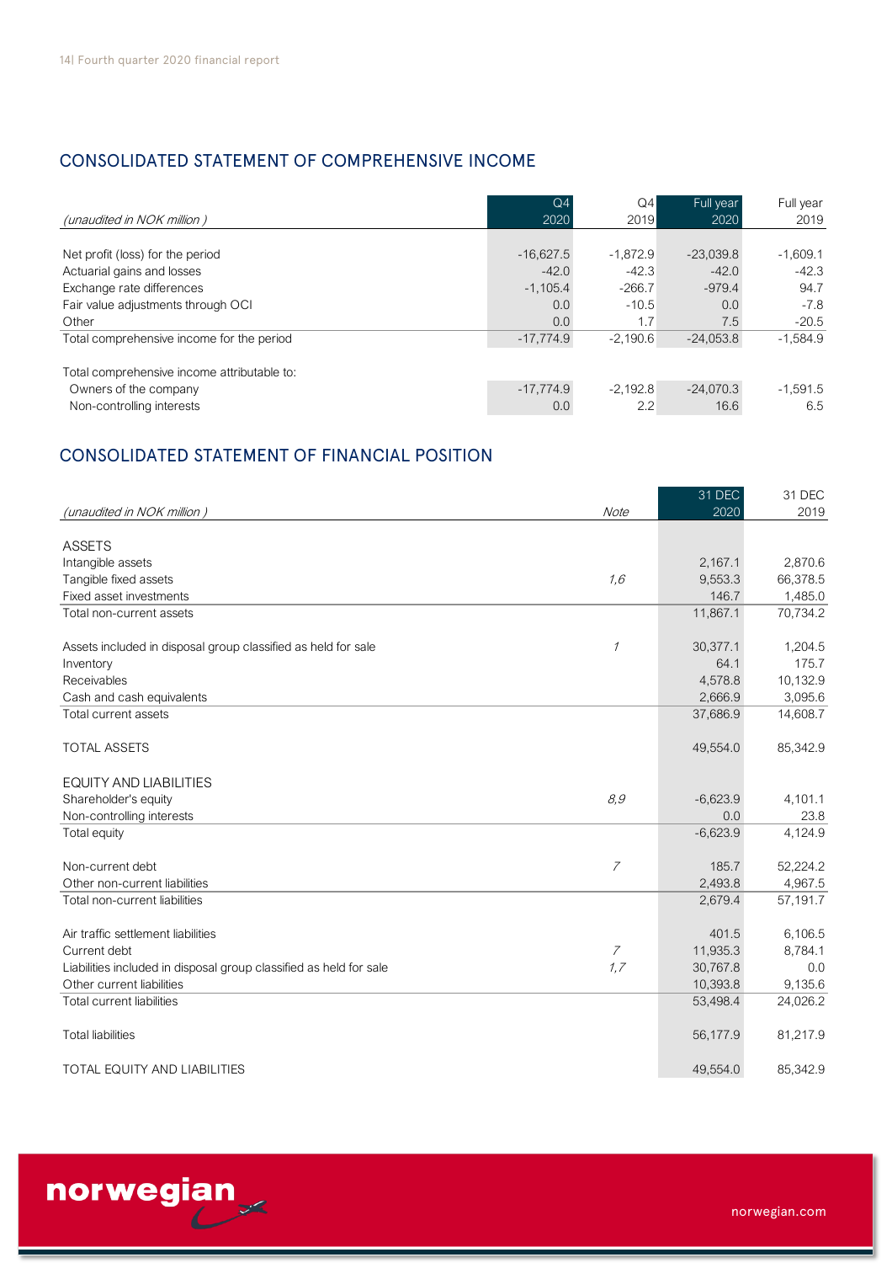# CONSOLIDATED STATEMENT OF COMPREHENSIVE INCOME

| <b>CONSOLIDATED STATEMENT OF COMPREHENSIVE INCOME</b>                                    |                |            |             |            |
|------------------------------------------------------------------------------------------|----------------|------------|-------------|------------|
| (unaudited in NOK million)                                                               | Q <sub>4</sub> | Q4         | Full year   | Full year  |
|                                                                                          | 2020           | 2019       | 2020        | 2019       |
| Net profit (loss) for the period                                                         | $-16.627.5$    | $-1.872.9$ | $-23,039.8$ | $-1,609.1$ |
| Actuarial gains and losses                                                               | $-42.0$        | $-42.3$    | $-42.0$     | $-42.3$    |
| Exchange rate differences                                                                | $-1,105.4$     | $-266.7$   | $-979.4$    | 94.7       |
| Fair value adjustments through OCI                                                       | 0.0            | $-10.5$    | 0.0         | $-7.8$     |
| Other                                                                                    | 0.0            | 1.7        | 7.5         | $-20.5$    |
| Total comprehensive income for the period<br>Total comprehensive income attributable to: | $-17,774.9$    | $-2.190.6$ | $-24,053.8$ | $-1,584.9$ |
| Owners of the company                                                                    | $-17,774.9$    | $-2,192.8$ | $-24,070.3$ | $-1,591.5$ |
| Non-controlling interests                                                                | 0.0            | 2.2        | 16.6        | 6.5        |

# CONSOLIDATED STATEMENT OF FINANCIAL POSITION

|                                                                    |                | 31 DEC     | 31 DEC   |
|--------------------------------------------------------------------|----------------|------------|----------|
| (unaudited in NOK million)                                         | Note           | 2020       | 2019     |
|                                                                    |                |            |          |
| <b>ASSETS</b>                                                      |                |            |          |
| Intangible assets                                                  |                | 2,167.1    | 2,870.6  |
| Tangible fixed assets                                              | 1,6            | 9,553.3    | 66,378.5 |
| Fixed asset investments                                            |                | 146.7      | 1,485.0  |
| Total non-current assets                                           |                | 11,867.1   | 70,734.2 |
|                                                                    |                |            |          |
| Assets included in disposal group classified as held for sale      | $\mathcal I$   | 30,377.1   | 1,204.5  |
| Inventory                                                          |                | 64.1       | 175.7    |
| Receivables                                                        |                | 4,578.8    | 10,132.9 |
| Cash and cash equivalents                                          |                | 2,666.9    | 3,095.6  |
| Total current assets                                               |                | 37,686.9   | 14,608.7 |
|                                                                    |                |            |          |
| <b>TOTAL ASSETS</b>                                                |                | 49,554.0   | 85,342.9 |
| <b>EQUITY AND LIABILITIES</b>                                      |                |            |          |
| Shareholder's equity                                               | 8,9            | $-6,623.9$ | 4,101.1  |
| Non-controlling interests                                          |                | 0.0        | 23.8     |
| Total equity                                                       |                | $-6,623.9$ | 4,124.9  |
|                                                                    |                |            |          |
| Non-current debt                                                   | $\overline{7}$ | 185.7      | 52,224.2 |
| Other non-current liabilities                                      |                | 2,493.8    | 4,967.5  |
| Total non-current liabilities                                      |                | 2,679.4    | 57,191.7 |
|                                                                    |                |            |          |
| Air traffic settlement liabilities                                 |                | 401.5      | 6,106.5  |
| Current debt                                                       | 7              | 11,935.3   | 8,784.1  |
| Liabilities included in disposal group classified as held for sale | 1,7            | 30,767.8   | 0.0      |
| Other current liabilities                                          |                | 10,393.8   | 9,135.6  |
| <b>Total current liabilities</b>                                   |                | 53,498.4   | 24,026.2 |
|                                                                    |                |            |          |
| <b>Total liabilities</b>                                           |                | 56,177.9   | 81,217.9 |
|                                                                    |                |            |          |
| <b>TOTAL EQUITY AND LIABILITIES</b>                                |                | 49,554.0   | 85,342.9 |



norwegian.com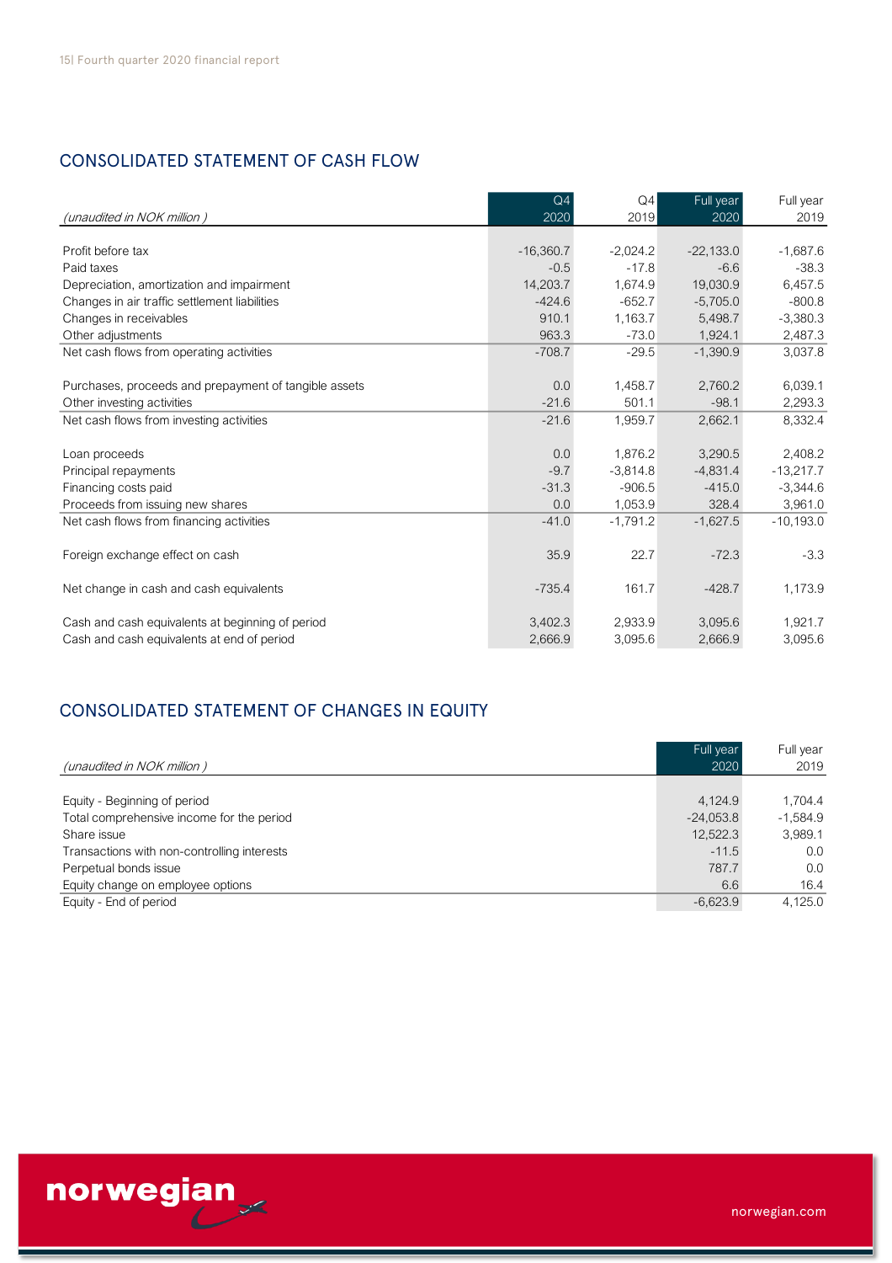# CONSOLIDATED STATEMENT OF CASH FLOW

| <b>CONSOLIDATED STATEMENT OF CASH FLOW</b>            |                        |            |                   |                   |
|-------------------------------------------------------|------------------------|------------|-------------------|-------------------|
| (unaudited in NOK million)                            | Q <sub>4</sub><br>2020 | Q4<br>2019 | Full year<br>2020 | Full year<br>2019 |
| Profit before tax                                     | $-16,360.7$            | $-2,024.2$ | $-22,133.0$       | $-1,687.6$        |
| Paid taxes                                            | $-0.5$                 | $-17.8$    | $-6.6$            | $-38.3$           |
| Depreciation, amortization and impairment             | 14,203.7               | 1,674.9    | 19,030.9          | 6,457.5           |
| Changes in air traffic settlement liabilities         | $-424.6$               | $-652.7$   | $-5,705.0$        | $-800.8$          |
| Changes in receivables                                | 910.1                  | 1,163.7    | 5,498.7           | $-3,380.3$        |
| Other adjustments                                     | 963.3                  | $-73.0$    | 1.924.1           | 2,487.3           |
| Net cash flows from operating activities              | $-708.7$               | $-29.5$    | $-1,390.9$        | 3,037.8           |
| Purchases, proceeds and prepayment of tangible assets | 0.0                    | 1,458.7    | 2,760.2           | 6,039.1           |
| Other investing activities                            | $-21.6$                | 501.1      | $-98.1$           | 2,293.3           |
| Net cash flows from investing activities              | $-21.6$                | 1,959.7    | 2,662.1           | 8,332.4           |
| Loan proceeds                                         | 0.0                    | 1.876.2    | 3,290.5           | 2,408.2           |
| Principal repayments                                  | $-9.7$                 | $-3,814.8$ | $-4.831.4$        | $-13,217.7$       |
| Financing costs paid                                  | $-31.3$                | $-906.5$   | $-415.0$          | $-3,344.6$        |
| Proceeds from issuing new shares                      | 0.0                    | 1,053.9    | 328.4             | 3,961.0           |
| Net cash flows from financing activities              | $-41.0$                | $-1,791.2$ | $-1,627.5$        | $-10,193.0$       |
| Foreign exchange effect on cash                       | 35.9                   | 22.7       | $-72.3$           | $-3.3$            |
| Net change in cash and cash equivalents               | $-735.4$               | 161.7      | $-428.7$          | 1,173.9           |
| Cash and cash equivalents at beginning of period      | 3,402.3                | 2,933.9    | 3,095.6           | 1,921.7           |
| Cash and cash equivalents at end of period            | 2,666.9                | 3,095.6    | 2,666.9           | 3,095.6           |

# CONSOLIDATED STATEMENT OF CHANGES IN EQUITY

|                                             | Full year   | Full year  |
|---------------------------------------------|-------------|------------|
| (unaudited in NOK million)                  | 2020        | 2019       |
|                                             |             |            |
| Equity - Beginning of period                | 4.124.9     | 1.704.4    |
| Total comprehensive income for the period   | $-24.053.8$ | $-1.584.9$ |
| Share issue                                 | 12,522.3    | 3,989.1    |
| Transactions with non-controlling interests | $-11.5$     | 0.0        |
| Perpetual bonds issue                       | 787.7       | 0.0        |
| Equity change on employee options           | 6.6         | 16.4       |
| Equity - End of period                      | $-6.623.9$  | 4.125.0    |

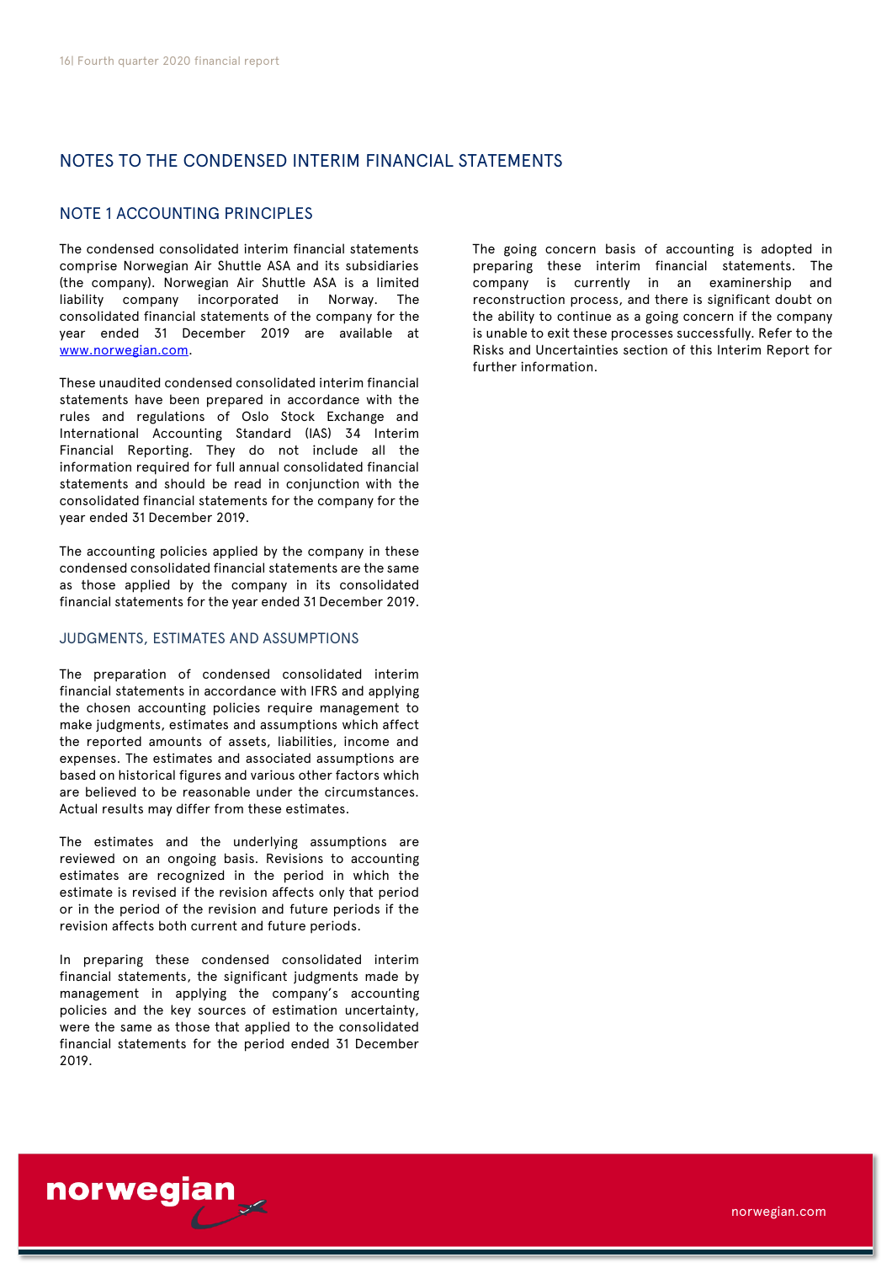# NOTES TO THE CONDENSED INTERIM FINANCIAL STATEMENTS

## NOTE 1 ACCOUNTING PRINCIPLES

The condensed consolidated interim financial statements comprise Norwegian Air Shuttle ASA and its subsidiaries (the company). Norwegian Air Shuttle ASA is a limited liability company incorporated in Norway. The consolidated financial statements of the company for the year ended 31 December 2019 are available at [www.norwegian.com.](http://www.norwegian.com/)

These unaudited condensed consolidated interim financial statements have been prepared in accordance with the rules and regulations of Oslo Stock Exchange and International Accounting Standard (IAS) 34 Interim Financial Reporting. They do not include all the information required for full annual consolidated financial statements and should be read in conjunction with the consolidated financial statements for the company for the year ended 31 December 2019.

The accounting policies applied by the company in these condensed consolidated financial statements are the same as those applied by the company in its consolidated financial statements for the year ended 31 December 2019.

### JUDGMENTS, ESTIMATES AND ASSUMPTIONS

The preparation of condensed consolidated interim financial statements in accordance with IFRS and applying the chosen accounting policies require management to make judgments, estimates and assumptions which affect the reported amounts of assets, liabilities, income and expenses. The estimates and associated assumptions are based on historical figures and various other factors which are believed to be reasonable under the circumstances. Actual results may differ from these estimates.

The estimates and the underlying assumptions are reviewed on an ongoing basis. Revisions to accounting estimates are recognized in the period in which the estimate is revised if the revision affects only that period or in the period of the revision and future periods if the revision affects both current and future periods.

In preparing these condensed consolidated interim financial statements, the significant judgments made by management in applying the company's accounting policies and the key sources of estimation uncertainty, were the same as those that applied to the consolidated financial statements for the period ended 31 December 2019.

norwegian

The going concern basis of accounting is adopted in preparing these interim financial statements. The company is currently in an examinership and reconstruction process, and there is significant doubt on the ability to continue as a going concern if the company is unable to exit these processes successfully. Refer to the Risks and Uncertainties section of this Interim Report for further information.

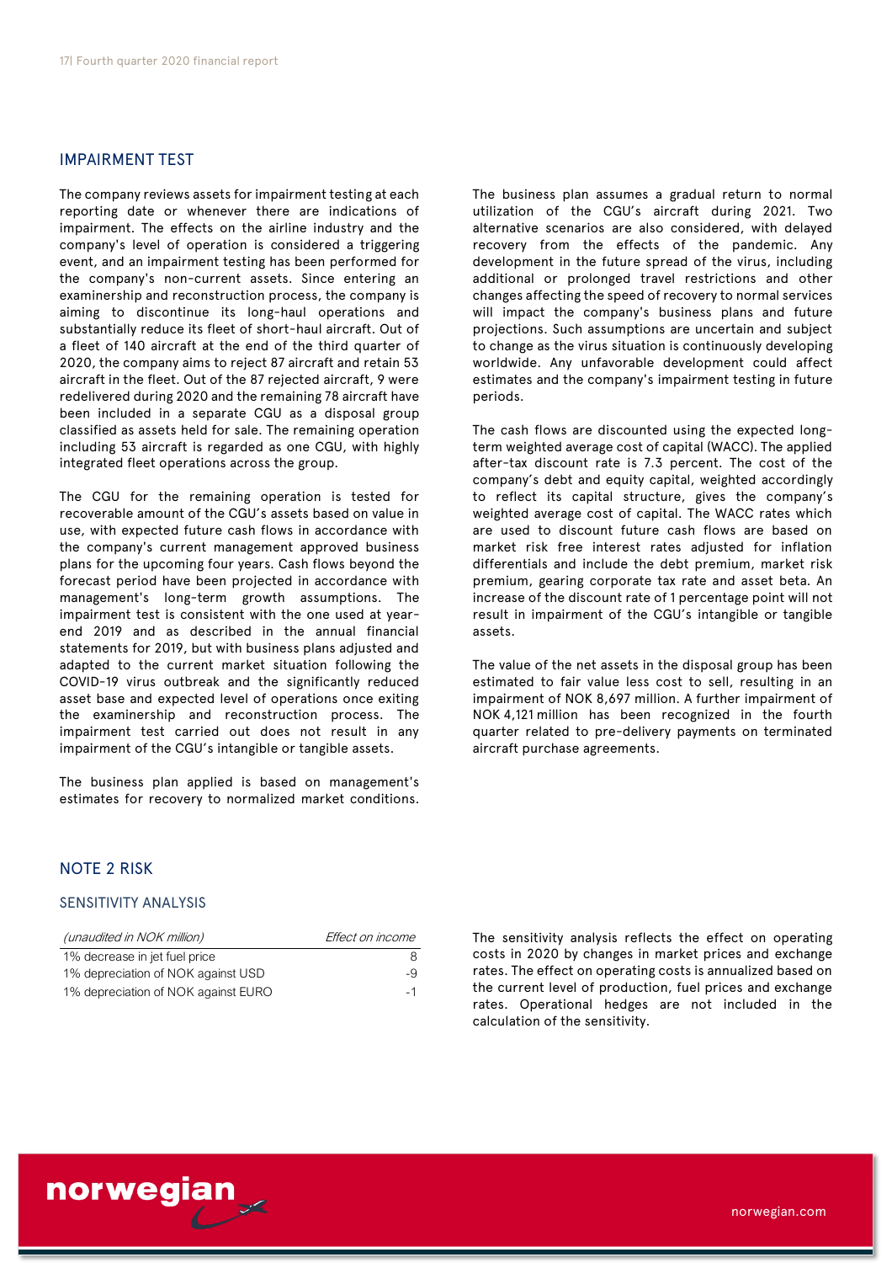### IMPAIRMENT TEST

The company reviews assets for impairment testing at each reporting date or whenever there are indications of impairment. The effects on the airline industry and the company's level of operation is considered a triggering event, and an impairment testing has been performed for the company's non-current assets. Since entering an examinership and reconstruction process, the company is aiming to discontinue its long-haul operations and substantially reduce its fleet of short-haul aircraft. Out of a fleet of 140 aircraft at the end of the third quarter of 2020, the company aims to reject 87 aircraft and retain 53 aircraft in the fleet. Out of the 87 rejected aircraft, 9 were redelivered during 2020 and the remaining 78 aircraft have been included in a separate CGU as a disposal group classified as assets held for sale. The remaining operation including 53 aircraft is regarded as one CGU, with highly integrated fleet operations across the group.

The CGU for the remaining operation is tested for recoverable amount of the CGU's assets based on value in use, with expected future cash flows in accordance with the company's current management approved business plans for the upcoming four years. Cash flows beyond the forecast period have been projected in accordance with management's long-term growth assumptions. The impairment test is consistent with the one used at yearend 2019 and as described in the annual financial statements for 2019, but with business plans adjusted and adapted to the current market situation following the COVID-19 virus outbreak and the significantly reduced asset base and expected level of operations once exiting the examinership and reconstruction process. The impairment test carried out does not result in any impairment of the CGU's intangible or tangible assets.

The business plan applied is based on management's estimates for recovery to normalized market conditions.

The business plan assumes a gradual return to normal utilization of the CGU's aircraft during 2021. Two alternative scenarios are also considered, with delayed recovery from the effects of the pandemic. Any development in the future spread of the virus, including additional or prolonged travel restrictions and other changes affecting the speed of recovery to normal services will impact the company's business plans and future projections. Such assumptions are uncertain and subject to change as the virus situation is continuously developing worldwide. Any unfavorable development could affect estimates and the company's impairment testing in future periods.

The cash flows are discounted using the expected longterm weighted average cost of capital (WACC). The applied after-tax discount rate is 7.3 percent. The cost of the company's debt and equity capital, weighted accordingly to reflect its capital structure, gives the company's weighted average cost of capital. The WACC rates which are used to discount future cash flows are based on market risk free interest rates adjusted for inflation differentials and include the debt premium, market risk premium, gearing corporate tax rate and asset beta. An increase of the discount rate of 1 percentage point will not result in impairment of the CGU's intangible or tangible assets.

The value of the net assets in the disposal group has been estimated to fair value less cost to sell, resulting in an impairment of NOK 8,697 million. A further impairment of NOK 4,121 million has been recognized in the fourth quarter related to pre-delivery payments on terminated aircraft purchase agreements.

### NOTE 2 RISK

### SENSITIVITY ANALYSIS

| (unaudited in NOK million)          | Effect on income |
|-------------------------------------|------------------|
| 1% decrease in jet fuel price       | 8                |
| 1% depreciation of NOK against USD  | $-9$             |
| 1% depreciation of NOK against EURO | $-1$             |

The sensitivity analysis reflects the effect on operating costs in 2020 by changes in market prices and exchange rates. The effect on operating costs is annualized based on the current level of production, fuel prices and exchange rates. Operational hedges are not included in the calculation of the sensitivity.

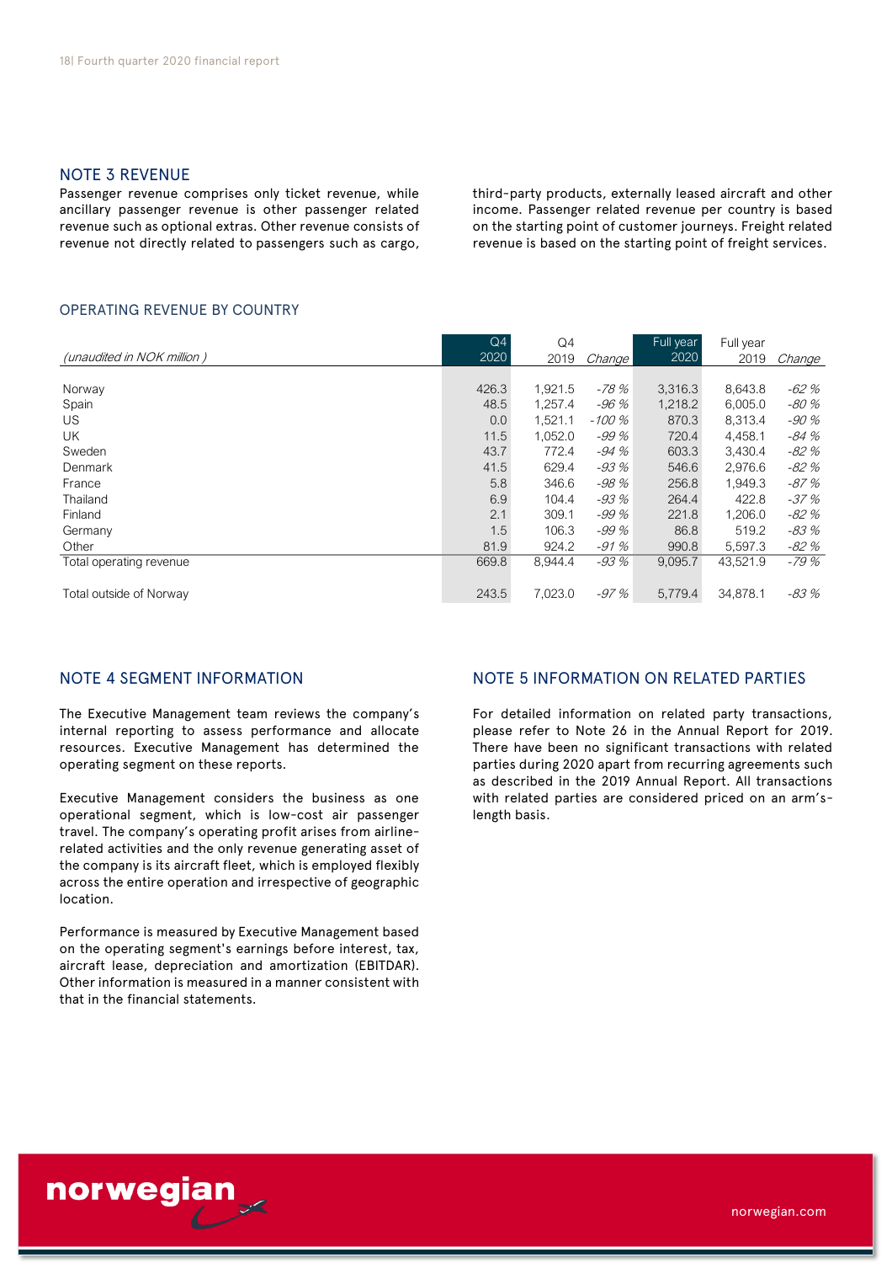# NOTE 3 REVENUE

Passenger revenue comprises only ticket revenue, while ancillary passenger revenue is other passenger related revenue such as optional extras. Other revenue consists of revenue not directly related to passengers such as cargo,

third-party products, externally leased aircraft and other income. Passenger related revenue per country is based on the starting point of customer journeys. Freight related revenue is based on the starting point of freight services.

### OPERATING REVENUE BY COUNTRY

| <b>OPERATING REVENUE BY COUNTRY</b> |            |            |        |                   |                   |        |
|-------------------------------------|------------|------------|--------|-------------------|-------------------|--------|
| (unaudited in NOK million)          | Q4<br>2020 | Q4<br>2019 | Change | Full year<br>2020 | Full year<br>2019 | Change |
|                                     | 426.3      | 1,921.5    | -78 %  | 3,316.3           | 8,643.8           | $-62%$ |
| Norway<br>Spain                     | 48.5       | 1,257.4    | -96 %  | 1,218.2           | 6,005.0           | -80 %  |
| US                                  | 0.0        | 1,521.1    | -100 % | 870.3             | 8,313.4           | -90 %  |
| <b>UK</b>                           | 11.5       | 1.052.0    | $-99%$ | 720.4             | 4,458.1           | -84 %  |
| Sweden                              | 43.7       | 772.4      | -94 %  | 603.3             | 3,430.4           | -82 %  |
| Denmark                             | 41.5       | 629.4      | $-93%$ | 546.6             | 2,976.6           | -82 %  |
| France                              | 5.8        | 346.6      | -98 %  | 256.8             | 1,949.3           | -87 %  |
| Thailand                            | 6.9        | 104.4      | $-93%$ | 264.4             | 422.8             | -37 %  |
| Finland                             | 2.1        | 309.1      | -99 %  | 221.8             | 1,206.0           | -82 %  |
| Germany                             | 1.5        | 106.3      | $-99%$ | 86.8              | 519.2             | -83 %  |
| Other                               | 81.9       | 924.2      | $-91%$ | 990.8             | 5,597.3           | -82 %  |
| Total operating revenue             | 669.8      | 8,944.4    | -93 %  | 9,095.7           | 43,521.9          | -79 %  |
| Total outside of Norway             | 243.5      | 7,023.0    | -97 %  | 5,779.4           | 34,878.1          | -83 %  |

## NOTE 4 SEGMENT INFORMATION

The Executive Management team reviews the company's internal reporting to assess performance and allocate resources. Executive Management has determined the operating segment on these reports.

Executive Management considers the business as one operational segment, which is low-cost air passenger travel. The company's operating profit arises from airlinerelated activities and the only revenue generating asset of the company is its aircraft fleet, which is employed flexibly across the entire operation and irrespective of geographic location.

Performance is measured by Executive Management based on the operating segment's earnings before interest, tax, aircraft lease, depreciation and amortization (EBITDAR). Other information is measured in a manner consistent with that in the financial statements.

# NOTE 5 INFORMATION ON RELATED PARTIES

For detailed information on related party transactions, please refer to Note 26 in the Annual Report for 2019. There have been no significant transactions with related parties during 2020 apart from recurring agreements such as described in the 2019 Annual Report. All transactions with related parties are considered priced on an arm'slength basis.

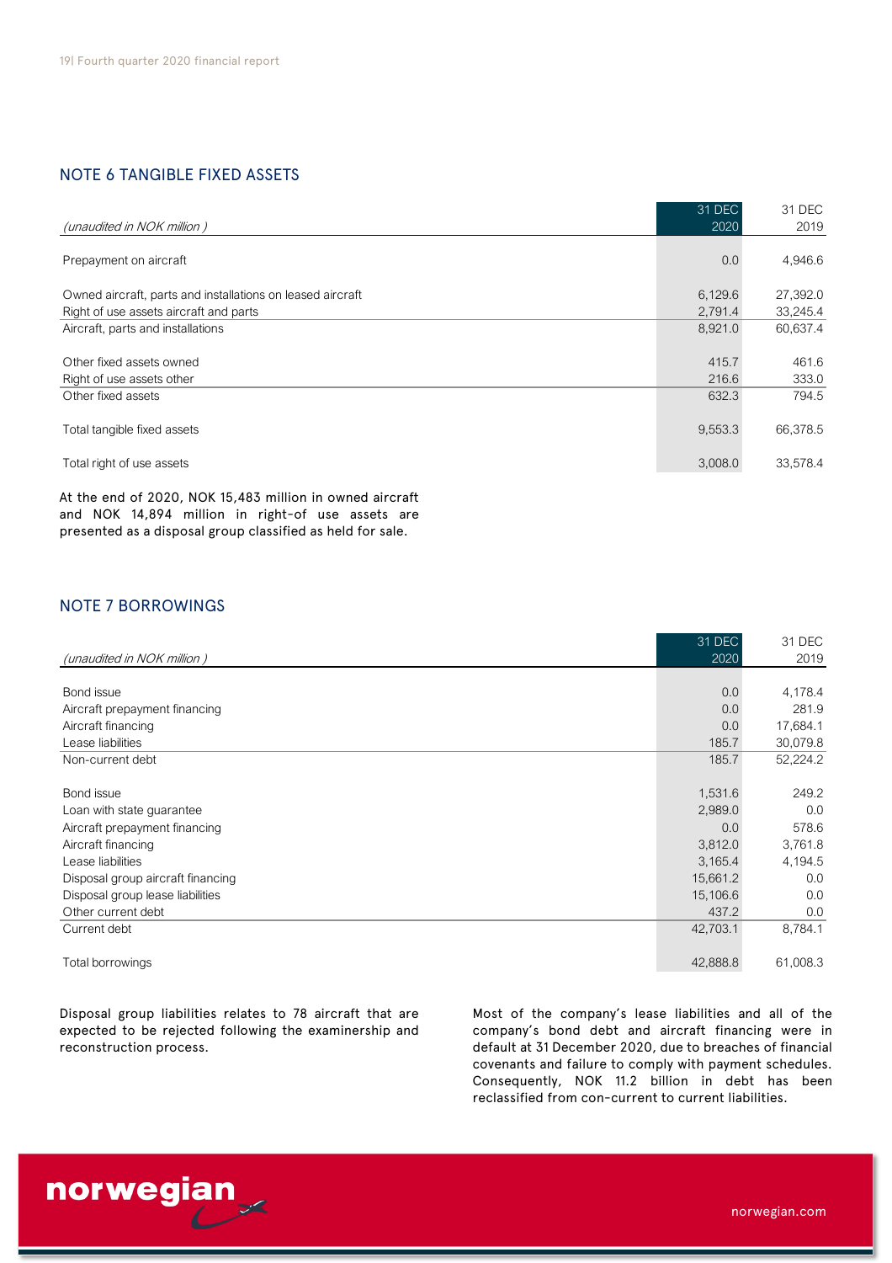# NOTE 6 TANGIBLE FIXED ASSETS

|                                                            | 31 DEC  | 31 DEC   |
|------------------------------------------------------------|---------|----------|
| (unaudited in NOK million)                                 | 2020    | 2019     |
|                                                            |         |          |
| Prepayment on aircraft                                     | 0.0     | 4,946.6  |
| Owned aircraft, parts and installations on leased aircraft | 6,129.6 | 27,392.0 |
| Right of use assets aircraft and parts                     | 2,791.4 | 33,245.4 |
| Aircraft, parts and installations                          | 8,921.0 | 60,637.4 |
|                                                            |         |          |
| Other fixed assets owned                                   | 415.7   | 461.6    |
| Right of use assets other                                  | 216.6   | 333.0    |
| Other fixed assets                                         | 632.3   | 794.5    |
|                                                            |         |          |
| Total tangible fixed assets                                | 9,553.3 | 66,378.5 |
|                                                            |         |          |
| Total right of use assets                                  | 3,008.0 | 33,578.4 |
|                                                            |         |          |

At the end of 2020, NOK 15,483 million in owned aircraft and NOK 14,894 million in right-of use assets are presented as a disposal group classified as held for sale.

# NOTE 7 BORROWINGS

|                                   | 31 DEC   | 31 DEC   |
|-----------------------------------|----------|----------|
| (unaudited in NOK million)        | 2020     | 2019     |
|                                   |          |          |
| Bond issue                        | 0.0      | 4,178.4  |
| Aircraft prepayment financing     | 0.0      | 281.9    |
| Aircraft financing                | 0.0      | 17,684.1 |
| Lease liabilities                 | 185.7    | 30,079.8 |
| Non-current debt                  | 185.7    | 52,224.2 |
|                                   |          |          |
| Bond issue                        | 1,531.6  | 249.2    |
| Loan with state guarantee         | 2,989.0  | 0.0      |
| Aircraft prepayment financing     | 0.0      | 578.6    |
| Aircraft financing                | 3,812.0  | 3,761.8  |
| Lease liabilities                 | 3,165.4  | 4,194.5  |
| Disposal group aircraft financing | 15,661.2 | 0.0      |
| Disposal group lease liabilities  | 15,106.6 | 0.0      |
| Other current debt                | 437.2    | 0.0      |
| Current debt                      | 42,703.1 | 8,784.1  |
|                                   |          |          |
| Total borrowings                  | 42,888.8 | 61,008.3 |

Disposal group liabilities relates to 78 aircraft that are expected to be rejected following the examinership and reconstruction process.

Most of the company's lease liabilities and all of the company's bond debt and aircraft financing were in default at 31 December 2020, due to breaches of financial covenants and failure to comply with payment schedules. Consequently, NOK 11.2 billion in debt has been reclassified from con-current to current liabilities.

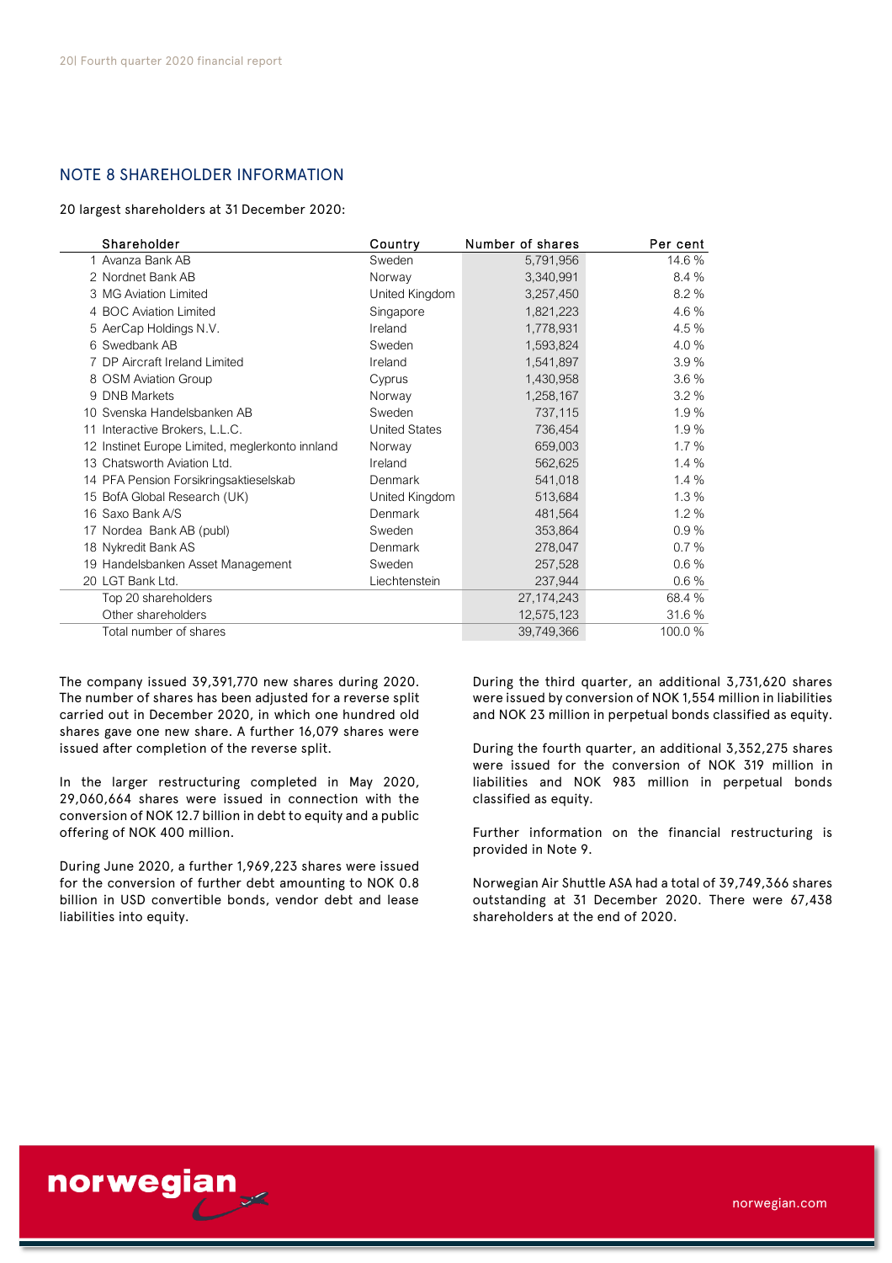# NOTE 8 SHAREHOLDER INFORMATION

20 largest shareholders at 31 December 2020:

| Shareholder                                     | Country              | Number of shares | Per cent |
|-------------------------------------------------|----------------------|------------------|----------|
| 1 Avanza Bank AB                                | Sweden               | 5,791,956        | 14.6%    |
| 2 Nordnet Bank AB                               | Norway               | 3,340,991        | 8.4 %    |
| 3 MG Aviation Limited                           | United Kingdom       | 3,257,450        | 8.2%     |
| 4 BOC Aviation Limited                          | Singapore            | 1,821,223        | 4.6%     |
| 5 AerCap Holdings N.V.                          | Ireland              | 1,778,931        | 4.5%     |
| 6 Swedbank AB                                   | Sweden               | 1,593,824        | 4.0%     |
| 7 DP Aircraft Ireland Limited                   | Ireland              | 1,541,897        | 3.9%     |
| 8 OSM Aviation Group                            | Cyprus               | 1,430,958        | 3.6%     |
| 9 DNB Markets                                   | Norway               | 1,258,167        | 3.2%     |
| 10 Svenska Handelsbanken AB                     | Sweden               | 737,115          | 1.9%     |
| 11 Interactive Brokers, L.L.C.                  | <b>United States</b> | 736,454          | 1.9%     |
| 12 Instinet Europe Limited, meglerkonto innland | Norway               | 659,003          | 1.7%     |
| 13 Chatsworth Aviation Ltd.                     | Ireland              | 562,625          | 1.4%     |
| 14 PFA Pension Forsikringsaktieselskab          | Denmark              | 541,018          | 1.4%     |
| 15 BofA Global Research (UK)                    | United Kingdom       | 513,684          | 1.3%     |
| 16 Saxo Bank A/S                                | Denmark              | 481,564          | 1.2%     |
| 17 Nordea Bank AB (publ)                        | Sweden               | 353,864          | 0.9%     |
| 18 Nykredit Bank AS                             | Denmark              | 278,047          | 0.7%     |
| 19 Handelsbanken Asset Management               | Sweden               | 257,528          | 0.6%     |
| 20 LGT Bank Ltd.                                | Liechtenstein        | 237,944          | $0.6\%$  |
| Top 20 shareholders                             |                      | 27, 174, 243     | 68.4 %   |
| Other shareholders                              |                      | 12,575,123       | 31.6 %   |
| Total number of shares                          |                      | 39,749,366       | 100.0%   |

The company issued 39,391,770 new shares during 2020. The number of shares has been adjusted for a reverse split carried out in December 2020, in which one hundred old shares gave one new share. A further 16,079 shares were issued after completion of the reverse split.

In the larger restructuring completed in May 2020, 29,060,664 shares were issued in connection with the conversion of NOK 12.7 billion in debt to equity and a public offering of NOK 400 million.

During June 2020, a further 1,969,223 shares were issued for the conversion of further debt amounting to NOK 0.8 billion in USD convertible bonds, vendor debt and lease liabilities into equity.

During the third quarter, an additional 3,731,620 shares were issued by conversion of NOK 1,554 million in liabilities and NOK 23 million in perpetual bonds classified as equity.

During the fourth quarter, an additional 3,352,275 shares were issued for the conversion of NOK 319 million in liabilities and NOK 983 million in perpetual bonds classified as equity.

Further information on the financial restructuring is provided in Note 9.

Norwegian Air Shuttle ASA had a total of 39,749,366 shares outstanding at 31 December 2020. There were 67,438 shareholders at the end of 2020.

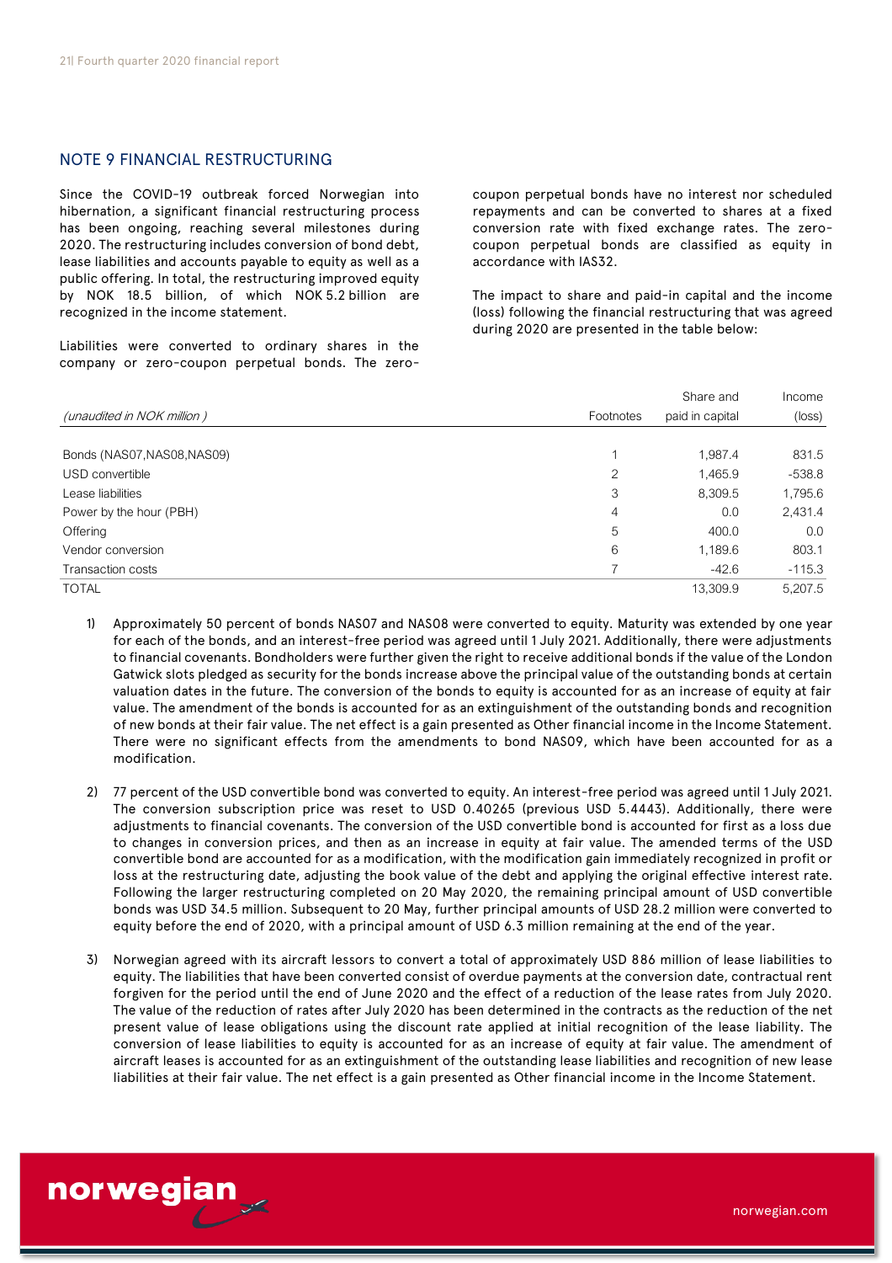## NOTE 9 FINANCIAL RESTRUCTURING

Since the COVID-19 outbreak forced Norwegian into hibernation, a significant financial restructuring process has been ongoing, reaching several milestones during 2020. The restructuring includes conversion of bond debt, lease liabilities and accounts payable to equity as well as a public offering. In total, the restructuring improved equity by NOK 18.5 billion, of which NOK 5.2 billion are recognized in the income statement.

Liabilities were converted to ordinary shares in the company or zero-coupon perpetual bonds. The zerocoupon perpetual bonds have no interest nor scheduled repayments and can be converted to shares at a fixed conversion rate with fixed exchange rates. The zerocoupon perpetual bonds are classified as equity in accordance with IAS32.

The impact to share and paid-in capital and the income (loss) following the financial restructuring that was agreed during 2020 are presented in the table below:

|                             |           | Share and       | Income          |
|-----------------------------|-----------|-----------------|-----------------|
| (unaudited in NOK million)  | Footnotes | paid in capital | $(\text{loss})$ |
|                             |           |                 |                 |
| Bonds (NAS07, NAS08, NAS09) |           | 1,987.4         | 831.5           |
| USD convertible             | 2         | 1,465.9         | $-538.8$        |
| Lease liabilities           | 3         | 8,309.5         | 1,795.6         |
| Power by the hour (PBH)     | 4         | 0.0             | 2,431.4         |
| Offering                    | 5         | 400.0           | 0.0             |
| Vendor conversion           | 6         | 1,189.6         | 803.1           |
| Transaction costs           |           | $-42.6$         | $-115.3$        |
| <b>TOTAL</b>                |           | 13,309.9        | 5.207.5         |

1) Approximately 50 percent of bonds NAS07 and NAS08 were converted to equity. Maturity was extended by one year for each of the bonds, and an interest-free period was agreed until 1 July 2021. Additionally, there were adjustments to financial covenants. Bondholders were further given the right to receive additional bonds if the value of the London Gatwick slots pledged as security for the bonds increase above the principal value of the outstanding bonds at certain valuation dates in the future. The conversion of the bonds to equity is accounted for as an increase of equity at fair value. The amendment of the bonds is accounted for as an extinguishment of the outstanding bonds and recognition of new bonds at their fair value. The net effect is a gain presented as Other financial income in the Income Statement. There were no significant effects from the amendments to bond NAS09, which have been accounted for as a modification.

- 2) 77 percent of the USD convertible bond was converted to equity. An interest-free period was agreed until 1 July 2021. The conversion subscription price was reset to USD 0.40265 (previous USD 5.4443). Additionally, there were adjustments to financial covenants. The conversion of the USD convertible bond is accounted for first as a loss due to changes in conversion prices, and then as an increase in equity at fair value. The amended terms of the USD convertible bond are accounted for as a modification, with the modification gain immediately recognized in profit or loss at the restructuring date, adjusting the book value of the debt and applying the original effective interest rate. Following the larger restructuring completed on 20 May 2020, the remaining principal amount of USD convertible bonds was USD 34.5 million. Subsequent to 20 May, further principal amounts of USD 28.2 million were converted to equity before the end of 2020, with a principal amount of USD 6.3 million remaining at the end of the year.
- 3) Norwegian agreed with its aircraft lessors to convert a total of approximately USD 886 million of lease liabilities to equity. The liabilities that have been converted consist of overdue payments at the conversion date, contractual rent forgiven for the period until the end of June 2020 and the effect of a reduction of the lease rates from July 2020. The value of the reduction of rates after July 2020 has been determined in the contracts as the reduction of the net present value of lease obligations using the discount rate applied at initial recognition of the lease liability. The conversion of lease liabilities to equity is accounted for as an increase of equity at fair value. The amendment of aircraft leases is accounted for as an extinguishment of the outstanding lease liabilities and recognition of new lease liabilities at their fair value. The net effect is a gain presented as Other financial income in the Income Statement.

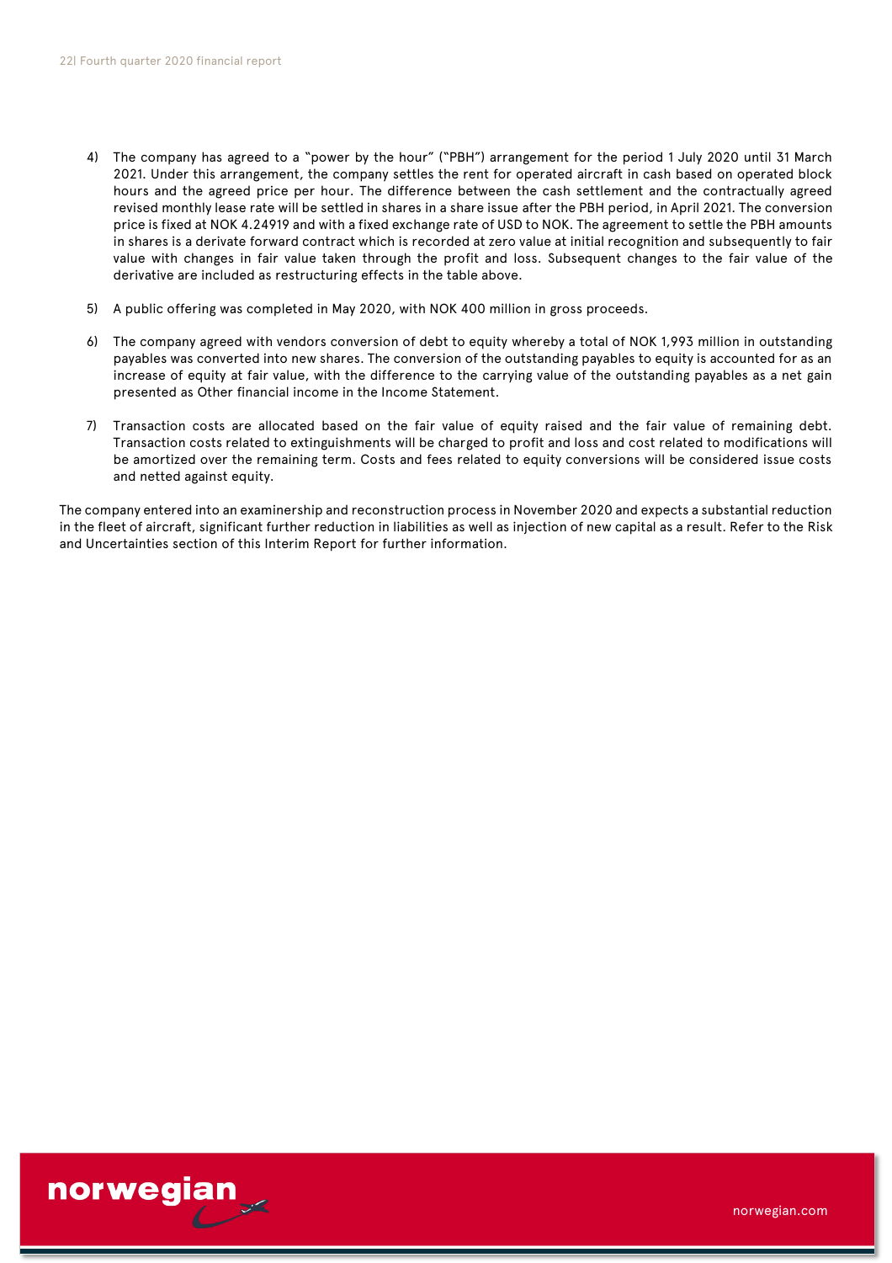- 4) The company has agreed to a "power by the hour" ("PBH") arrangement for the period 1 July 2020 until 31 March 2021. Under this arrangement, the company settles the rent for operated aircraft in cash based on operated block hours and the agreed price per hour. The difference between the cash settlement and the contractually agreed revised monthly lease rate will be settled in shares in a share issue after the PBH period, in April 2021. The conversion price is fixed at NOK 4.24919 and with a fixed exchange rate of USD to NOK. The agreement to settle the PBH amounts in shares is a derivate forward contract which is recorded at zero value at initial recognition and subsequently to fair value with changes in fair value taken through the profit and loss. Subsequent changes to the fair value of the derivative are included as restructuring effects in the table above.
- 5) A public offering was completed in May 2020, with NOK 400 million in gross proceeds.
- 6) The company agreed with vendors conversion of debt to equity whereby a total of NOK 1,993 million in outstanding payables was converted into new shares. The conversion of the outstanding payables to equity is accounted for as an increase of equity at fair value, with the difference to the carrying value of the outstanding payables as a net gain presented as Other financial income in the Income Statement.
- 7) Transaction costs are allocated based on the fair value of equity raised and the fair value of remaining debt. Transaction costs related to extinguishments will be charged to profit and loss and cost related to modifications will be amortized over the remaining term. Costs and fees related to equity conversions will be considered issue costs and netted against equity.

The company entered into an examinership and reconstruction process in November 2020 and expects a substantial reduction in the fleet of aircraft, significant further reduction in liabilities as well as injection of new capital as a result. Refer to the Risk and Uncertainties section of this Interim Report for further information.

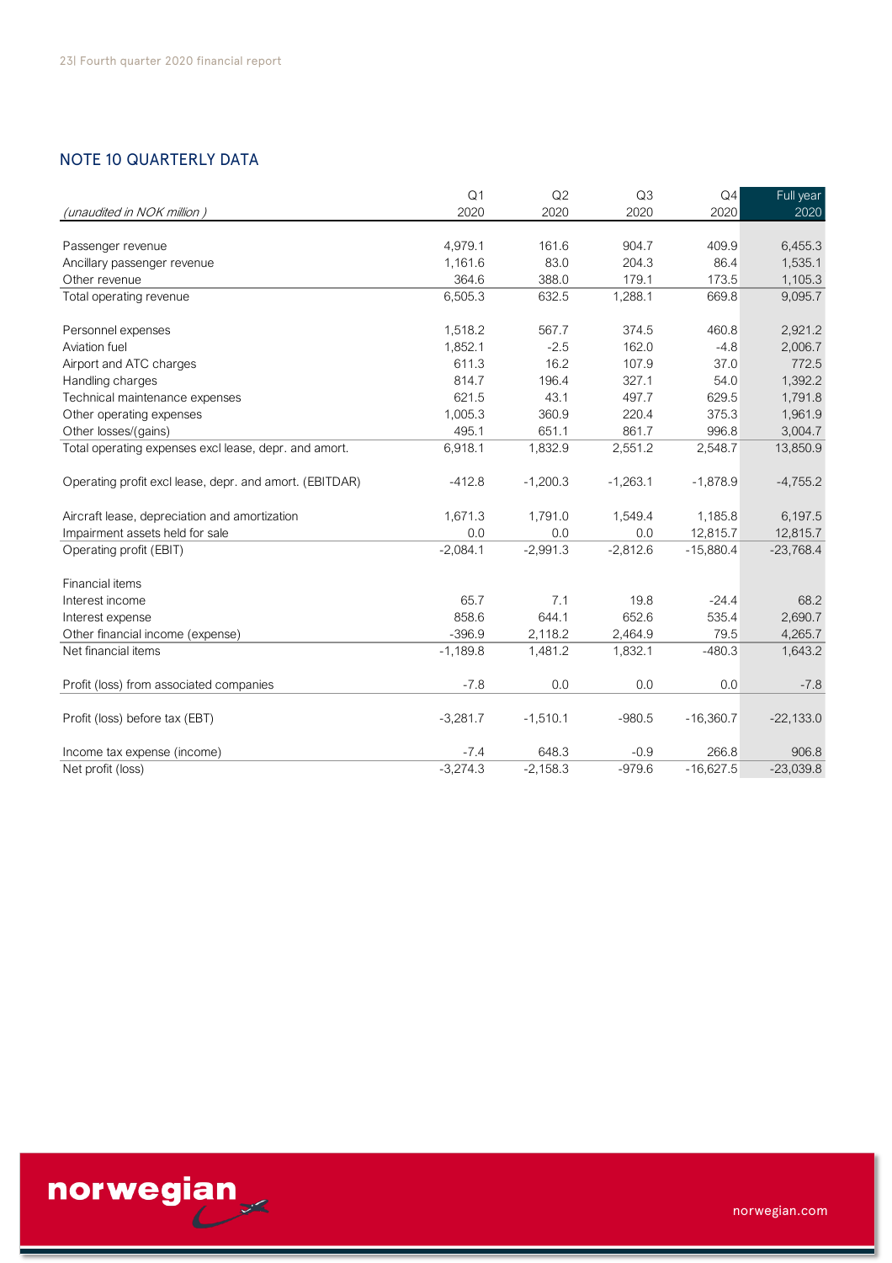# NOTE 10 QUARTERLY DATA

| <b>NOTE 10 QUARTERLY DATA</b>                           |                        |            |            |             |                   |
|---------------------------------------------------------|------------------------|------------|------------|-------------|-------------------|
|                                                         |                        |            |            |             |                   |
|                                                         | Q <sub>1</sub><br>2020 | Q2<br>2020 | Q3<br>2020 | Q4<br>2020  | Full year<br>2020 |
| (unaudited in NOK million)                              |                        |            |            |             |                   |
| Passenger revenue                                       | 4.979.1                | 161.6      | 904.7      | 409.9       | 6.455.3           |
| Ancillary passenger revenue                             | 1,161.6                | 83.0       | 204.3      | 86.4        | 1,535.1           |
| Other revenue                                           | 364.6                  | 388.0      | 179.1      | 173.5       | 1,105.3           |
| Total operating revenue                                 | 6,505.3                | 632.5      | 1,288.1    | 669.8       | 9,095.7           |
| Personnel expenses                                      | 1,518.2                | 567.7      | 374.5      | 460.8       | 2,921.2           |
| Aviation fuel                                           | 1,852.1                | $-2.5$     | 162.0      | $-4.8$      | 2,006.7           |
| Airport and ATC charges                                 | 611.3                  | 16.2       | 107.9      | 37.0        | 772.5             |
| Handling charges                                        | 814.7                  | 196.4      | 327.1      | 54.0        | 1,392.2           |
| Technical maintenance expenses                          | 621.5                  | 43.1       | 497.7      | 629.5       | 1,791.8           |
| Other operating expenses                                | 1,005.3                | 360.9      | 220.4      | 375.3       | 1,961.9           |
| Other losses/(gains)                                    | 495.1                  | 651.1      | 861.7      | 996.8       | 3,004.7           |
| Total operating expenses excl lease, depr. and amort.   | 6,918.1                | 1,832.9    | 2,551.2    | 2,548.7     | 13,850.9          |
| Operating profit excl lease, depr. and amort. (EBITDAR) | $-412.8$               | $-1,200.3$ | $-1,263.1$ | $-1,878.9$  | $-4,755.2$        |
| Aircraft lease, depreciation and amortization           | 1,671.3                | 1,791.0    | 1,549.4    | 1,185.8     | 6,197.5           |
| Impairment assets held for sale                         | 0.0                    | 0.0        | 0.0        | 12,815.7    | 12,815.7          |
| Operating profit (EBIT)                                 | $-2,084.1$             | $-2,991.3$ | $-2,812.6$ | $-15,880.4$ | $-23,768.4$       |
| Financial items                                         |                        |            |            |             |                   |
| Interest income                                         | 65.7                   | 7.1        | 19.8       | $-24.4$     | 68.2              |
| Interest expense                                        | 858.6                  | 644.1      | 652.6      | 535.4       | 2,690.7           |
| Other financial income (expense)                        | $-396.9$               | 2,118.2    | 2,464.9    | 79.5        | 4,265.7           |
| Net financial items                                     | $-1,189.8$             | 1,481.2    | 1,832.1    | $-480.3$    | 1,643.2           |
| Profit (loss) from associated companies                 | $-7.8$                 | 0.0        | 0.0        | 0.0         | $-7.8$            |
| Profit (loss) before tax (EBT)                          | $-3,281.7$             | $-1,510.1$ | $-980.5$   | $-16,360.7$ | $-22,133.0$       |
| Income tax expense (income)                             | $-7.4$                 | 648.3      | $-0.9$     | 266.8       | 906.8             |
| Net profit (loss)                                       | $-3,274.3$             | $-2,158.3$ | $-979.6$   | $-16,627.5$ | $-23,039.8$       |

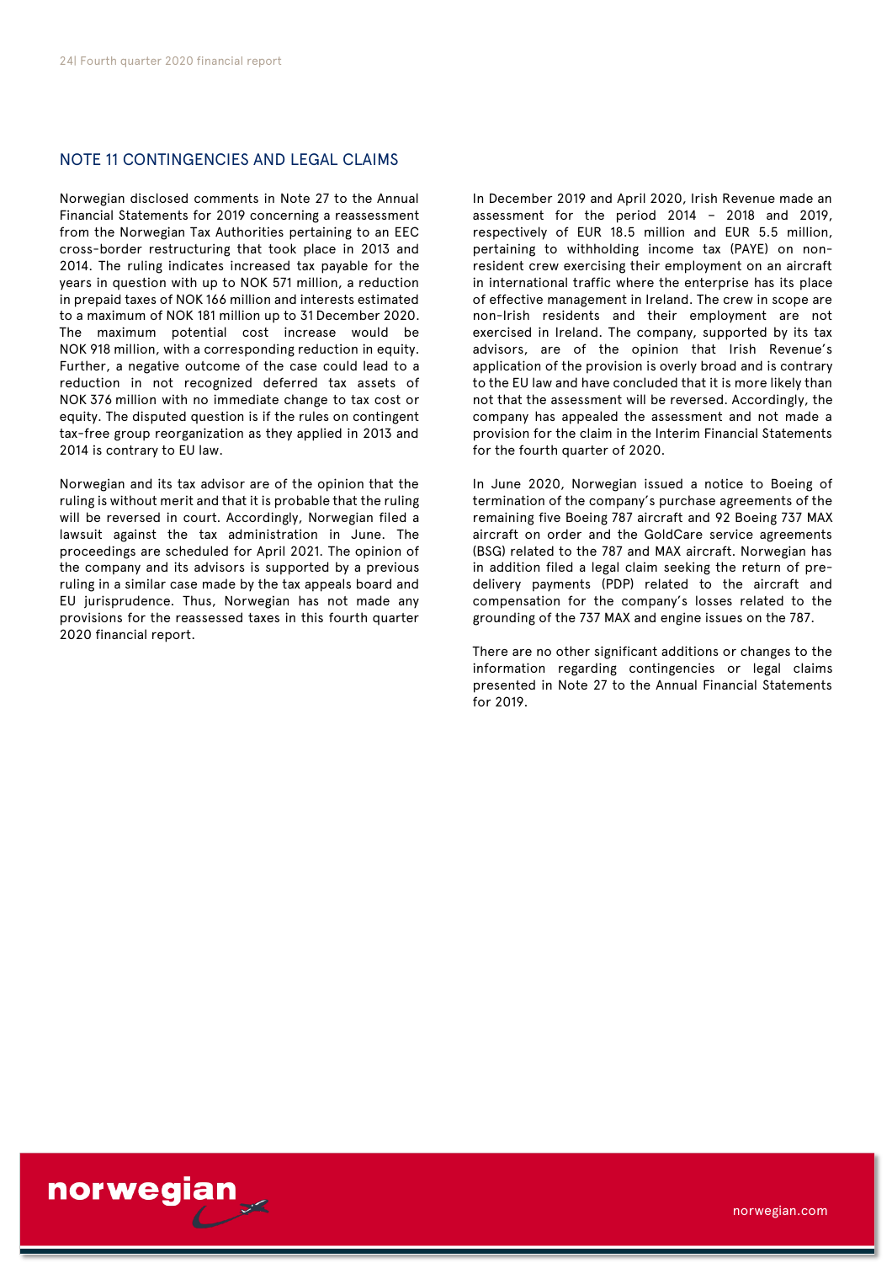# NOTE 11 CONTINGENCIES AND LEGAL CLAIMS

Norwegian disclosed comments in Note 27 to the Annual Financial Statements for 2019 concerning a reassessment from the Norwegian Tax Authorities pertaining to an EEC cross-border restructuring that took place in 2013 and 2014. The ruling indicates increased tax payable for the years in question with up to NOK 571 million, a reduction in prepaid taxes of NOK 166 million and interests estimated to a maximum of NOK 181 million up to 31 December 2020. The maximum potential cost increase would be NOK 918 million, with a corresponding reduction in equity. Further, a negative outcome of the case could lead to a reduction in not recognized deferred tax assets of NOK 376 million with no immediate change to tax cost or equity. The disputed question is if the rules on contingent tax-free group reorganization as they applied in 2013 and 2014 is contrary to EU law.

Norwegian and its tax advisor are of the opinion that the ruling is without merit and that it is probable that the ruling will be reversed in court. Accordingly, Norwegian filed a lawsuit against the tax administration in June. The proceedings are scheduled for April 2021. The opinion of the company and its advisors is supported by a previous ruling in a similar case made by the tax appeals board and EU jurisprudence. Thus, Norwegian has not made any provisions for the reassessed taxes in this fourth quarter 2020 financial report.

In December 2019 and April 2020, Irish Revenue made an assessment for the period 2014 – 2018 and 2019, respectively of EUR 18.5 million and EUR 5.5 million, pertaining to withholding income tax (PAYE) on nonresident crew exercising their employment on an aircraft in international traffic where the enterprise has its place of effective management in Ireland. The crew in scope are non-Irish residents and their employment are not exercised in Ireland. The company, supported by its tax advisors, are of the opinion that Irish Revenue's application of the provision is overly broad and is contrary to the EU law and have concluded that it is more likely than not that the assessment will be reversed. Accordingly, the company has appealed the assessment and not made a provision for the claim in the Interim Financial Statements for the fourth quarter of 2020.

In June 2020, Norwegian issued a notice to Boeing of termination of the company's purchase agreements of the remaining five Boeing 787 aircraft and 92 Boeing 737 MAX aircraft on order and the GoldCare service agreements (BSG) related to the 787 and MAX aircraft. Norwegian has in addition filed a legal claim seeking the return of predelivery payments (PDP) related to the aircraft and compensation for the company's losses related to the grounding of the 737 MAX and engine issues on the 787.

There are no other significant additions or changes to the information regarding contingencies or legal claims presented in Note 27 to the Annual Financial Statements for 2019.

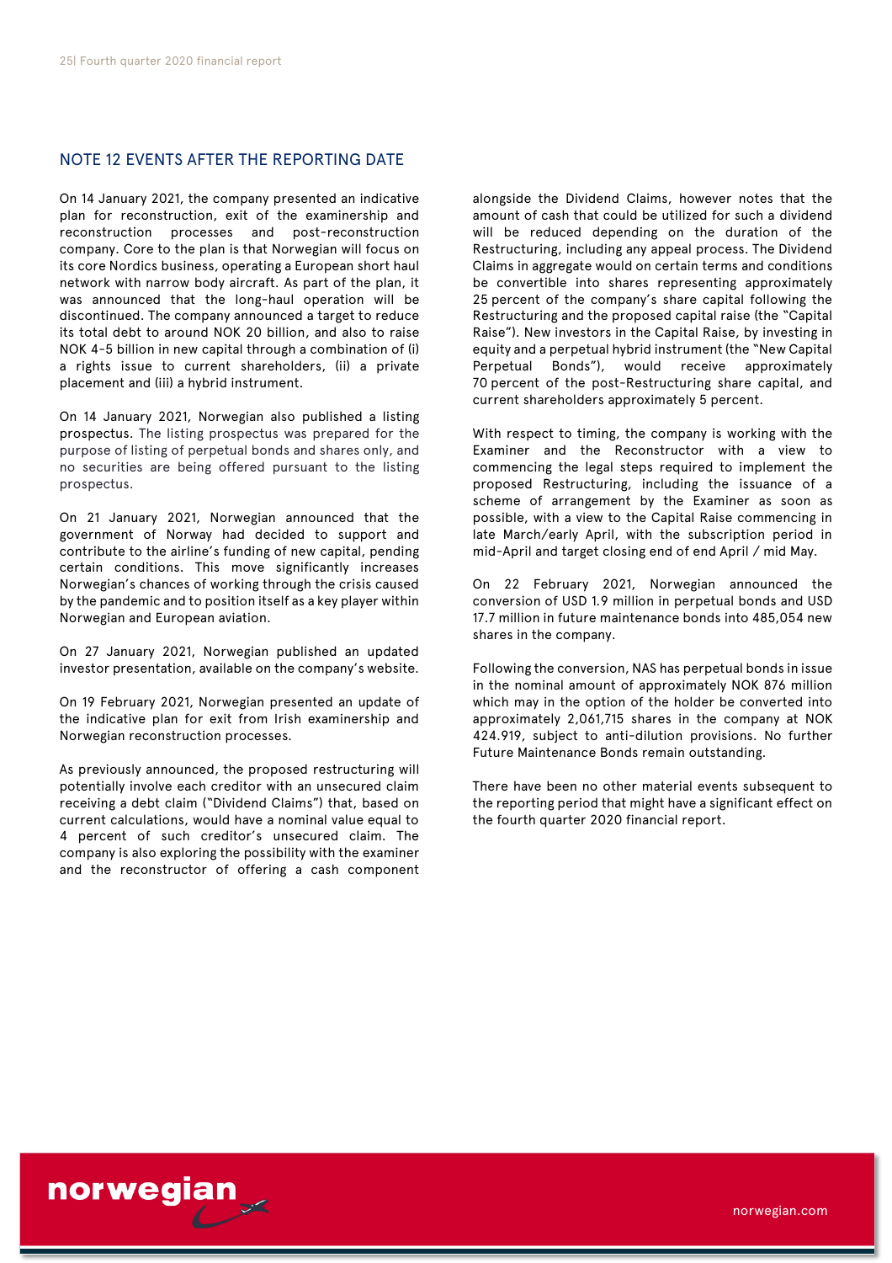# NOTE 12 EVENTS AFTER THE REPORTING DATE

On 14 January 2021, the company presented an indicative plan for reconstruction, exit of the examinership and reconstruction processes and post-reconstruction company. Core to the plan is that Norwegian will focus on its core Nordics business, operating a European short haul network with narrow body aircraft. As part of the plan, it was announced that the long-haul operation will be discontinued. The company announced a target to reduce its total debt to around NOK 20 billion, and also to raise NOK 4-5 billion in new capital through a combination of (i) a rights issue to current shareholders, (ii) a private placement and (iii) a hybrid instrument.

On 14 January 2021, Norwegian also published a listing prospectus. The listing prospectus was prepared for the purpose of listing of perpetual bonds and shares only, and no securities are being offered pursuant to the listing prospectus.

On 21 January 2021, Norwegian announced that the government of Norway had decided to support and contribute to the airline's funding of new capital, pending certain conditions. This move significantly increases Norwegian's chances of working through the crisis caused by the pandemic and to position itself as a key player within Norwegian and European aviation.

On 27 January 2021, Norwegian published an updated investor presentation, available on the company's website.

On 19 February 2021, Norwegian presented an update of the indicative plan for exit from Irish examinership and Norwegian reconstruction processes.

As previously announced, the proposed restructuring will potentially involve each creditor with an unsecured claim receiving a debt claim ("Dividend Claims") that, based on current calculations, would have a nominal value equal to 4 percent of such creditor's unsecured claim. The company is also exploring the possibility with the examiner and the reconstructor of offering a cash component alongside the Dividend Claims, however notes that the amount of cash that could be utilized for such a dividend will be reduced depending on the duration of the Restructuring, including any appeal process. The Dividend Claims in aggregate would on certain terms and conditions be convertible into shares representing approximately 25 percent of the company's share capital following the Restructuring and the proposed capital raise (the "Capital Raise"). New investors in the Capital Raise, by investing in equity and a perpetual hybrid instrument (the "New Capital Perpetual Bonds"), would receive approximately 70 percent of the post-Restructuring share capital, and current shareholders approximately 5 percent.

With respect to timing, the company is working with the Examiner and the Reconstructor with a view to commencing the legal steps required to implement the proposed Restructuring, including the issuance of a scheme of arrangement by the Examiner as soon as possible, with a view to the Capital Raise commencing in late March/early April, with the subscription period in mid-April and target closing end of end April / mid May.

On 22 February 2021, Norwegian announced the conversion of USD 1.9 million in perpetual bonds and USD 17.7 million in future maintenance bonds into 485,054 new shares in the company.

Following the conversion, NAS has perpetual bonds in issue in the nominal amount of approximately NOK 876 million which may in the option of the holder be converted into approximately 2,061,715 shares in the company at NOK 424.919, subject to anti-dilution provisions. No further Future Maintenance Bonds remain outstanding.

There have been no other material events subsequent to the reporting period that might have a significant effect on the fourth quarter 2020 financial report.

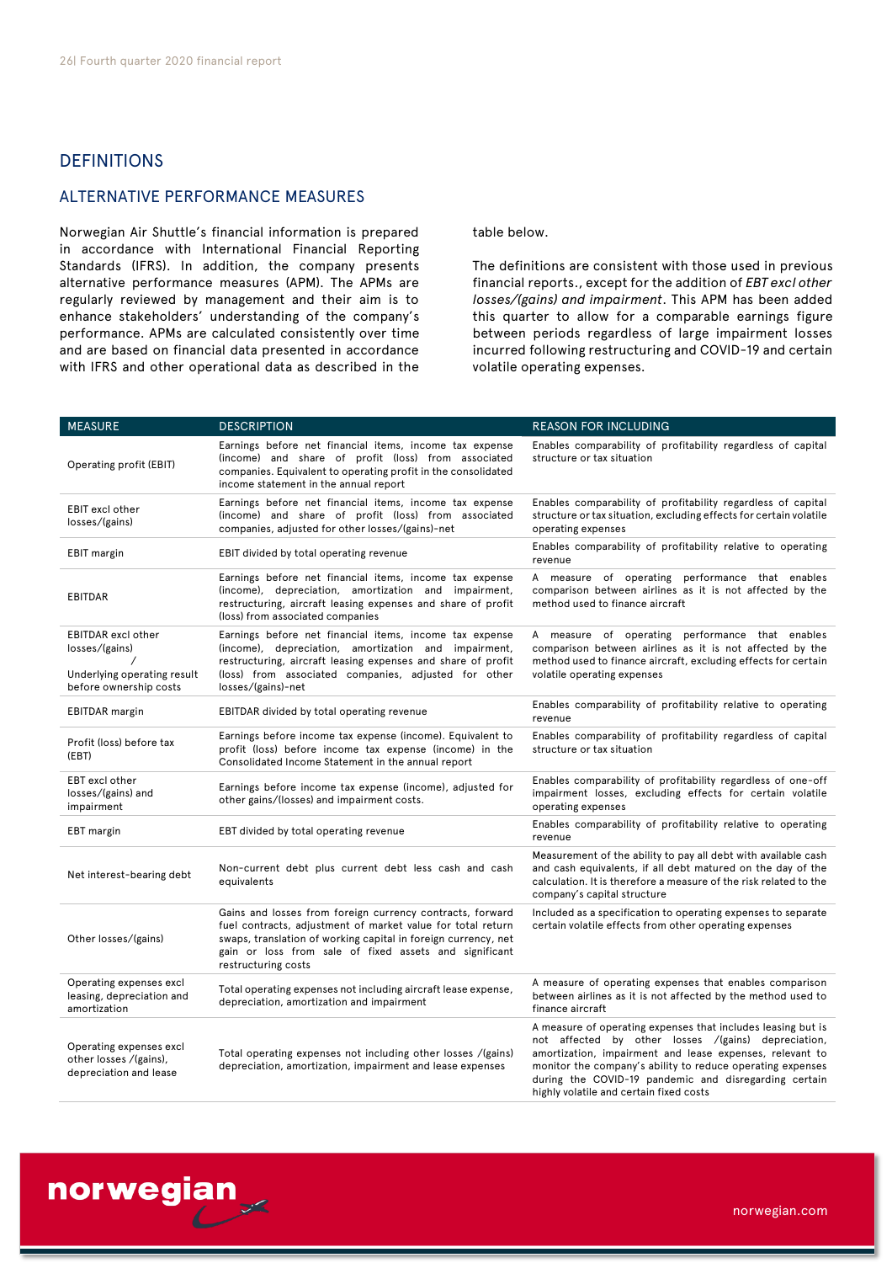# DEFINITIONS

# ALTERNATIVE PERFORMANCE MEASURES

Norwegian Air Shuttle's financial information is prepared in accordance with International Financial Reporting Standards (IFRS). In addition, the company presents alternative performance measures (APM). The APMs are regularly reviewed by management and their aim is to enhance stakeholders' understanding of the company's performance. APMs are calculated consistently over time and are based on financial data presented in accordance with IFRS and other operational data as described in the table below.

The definitions are consistent with those used in previous financial reports., except for the addition of *EBT excl other losses/(gains) and impairment*. This APM has been added this quarter to allow for a comparable earnings figure between periods regardless of large impairment losses incurred following restructuring and COVID-19 and certain volatile operating expenses.

| <b>MEASURE</b>                                                                                       | <b>DESCRIPTION</b>                                                                                                                                                                                                                                                          | <b>REASON FOR INCLUDING</b>                                                                                                                                                                                                                                                                                                                       |
|------------------------------------------------------------------------------------------------------|-----------------------------------------------------------------------------------------------------------------------------------------------------------------------------------------------------------------------------------------------------------------------------|---------------------------------------------------------------------------------------------------------------------------------------------------------------------------------------------------------------------------------------------------------------------------------------------------------------------------------------------------|
| Operating profit (EBIT)                                                                              | Earnings before net financial items, income tax expense<br>(income) and share of profit (loss) from associated<br>companies. Equivalent to operating profit in the consolidated<br>income statement in the annual report                                                    | Enables comparability of profitability regardless of capital<br>structure or tax situation                                                                                                                                                                                                                                                        |
| <b>EBIT</b> excl other<br>losses/(gains)                                                             | Earnings before net financial items, income tax expense<br>(income) and share of profit (loss) from associated<br>companies, adjusted for other losses/(gains)-net                                                                                                          | Enables comparability of profitability regardless of capital<br>structure or tax situation, excluding effects for certain volatile<br>operating expenses                                                                                                                                                                                          |
| <b>EBIT</b> margin                                                                                   | EBIT divided by total operating revenue                                                                                                                                                                                                                                     | Enables comparability of profitability relative to operating<br>revenue                                                                                                                                                                                                                                                                           |
| <b>EBITDAR</b>                                                                                       | Earnings before net financial items, income tax expense<br>(income), depreciation, amortization and impairment,<br>restructuring, aircraft leasing expenses and share of profit<br>(loss) from associated companies                                                         | A measure of operating performance that enables<br>comparison between airlines as it is not affected by the<br>method used to finance aircraft                                                                                                                                                                                                    |
| <b>EBITDAR</b> excl other<br>losses/(gains)<br>Underlying operating result<br>before ownership costs | Earnings before net financial items, income tax expense<br>(income), depreciation, amortization and impairment,<br>restructuring, aircraft leasing expenses and share of profit<br>(loss) from associated companies, adjusted for other<br>losses/(gains)-net               | A measure of operating performance that enables<br>comparison between airlines as it is not affected by the<br>method used to finance aircraft, excluding effects for certain<br>volatile operating expenses                                                                                                                                      |
| <b>EBITDAR</b> margin                                                                                | EBITDAR divided by total operating revenue                                                                                                                                                                                                                                  | Enables comparability of profitability relative to operating<br>revenue                                                                                                                                                                                                                                                                           |
| Profit (loss) before tax<br>(EBT)                                                                    | Earnings before income tax expense (income). Equivalent to<br>profit (loss) before income tax expense (income) in the<br>Consolidated Income Statement in the annual report                                                                                                 | Enables comparability of profitability regardless of capital<br>structure or tax situation                                                                                                                                                                                                                                                        |
| EBT excl other<br>losses/(gains) and<br>impairment                                                   | Earnings before income tax expense (income), adjusted for<br>other gains/(losses) and impairment costs.                                                                                                                                                                     | Enables comparability of profitability regardless of one-off<br>impairment losses, excluding effects for certain volatile<br>operating expenses                                                                                                                                                                                                   |
| EBT margin                                                                                           | EBT divided by total operating revenue                                                                                                                                                                                                                                      | Enables comparability of profitability relative to operating<br>revenue                                                                                                                                                                                                                                                                           |
| Net interest-bearing debt                                                                            | Non-current debt plus current debt less cash and cash<br>equivalents                                                                                                                                                                                                        | Measurement of the ability to pay all debt with available cash<br>and cash equivalents, if all debt matured on the day of the<br>calculation. It is therefore a measure of the risk related to the<br>company's capital structure                                                                                                                 |
| Other losses/(gains)                                                                                 | Gains and losses from foreign currency contracts, forward<br>fuel contracts, adjustment of market value for total return<br>swaps, translation of working capital in foreign currency, net<br>gain or loss from sale of fixed assets and significant<br>restructuring costs | Included as a specification to operating expenses to separate<br>certain volatile effects from other operating expenses                                                                                                                                                                                                                           |
| Operating expenses excl<br>leasing, depreciation and<br>amortization                                 | Total operating expenses not including aircraft lease expense,<br>depreciation, amortization and impairment                                                                                                                                                                 | A measure of operating expenses that enables comparison<br>between airlines as it is not affected by the method used to<br>finance aircraft                                                                                                                                                                                                       |
| Operating expenses excl<br>other losses /(gains),<br>depreciation and lease                          | Total operating expenses not including other losses /(gains)<br>depreciation, amortization, impairment and lease expenses                                                                                                                                                   | A measure of operating expenses that includes leasing but is<br>not affected by other losses /(gains) depreciation,<br>amortization, impairment and lease expenses, relevant to<br>monitor the company's ability to reduce operating expenses<br>during the COVID-19 pandemic and disregarding certain<br>highly volatile and certain fixed costs |

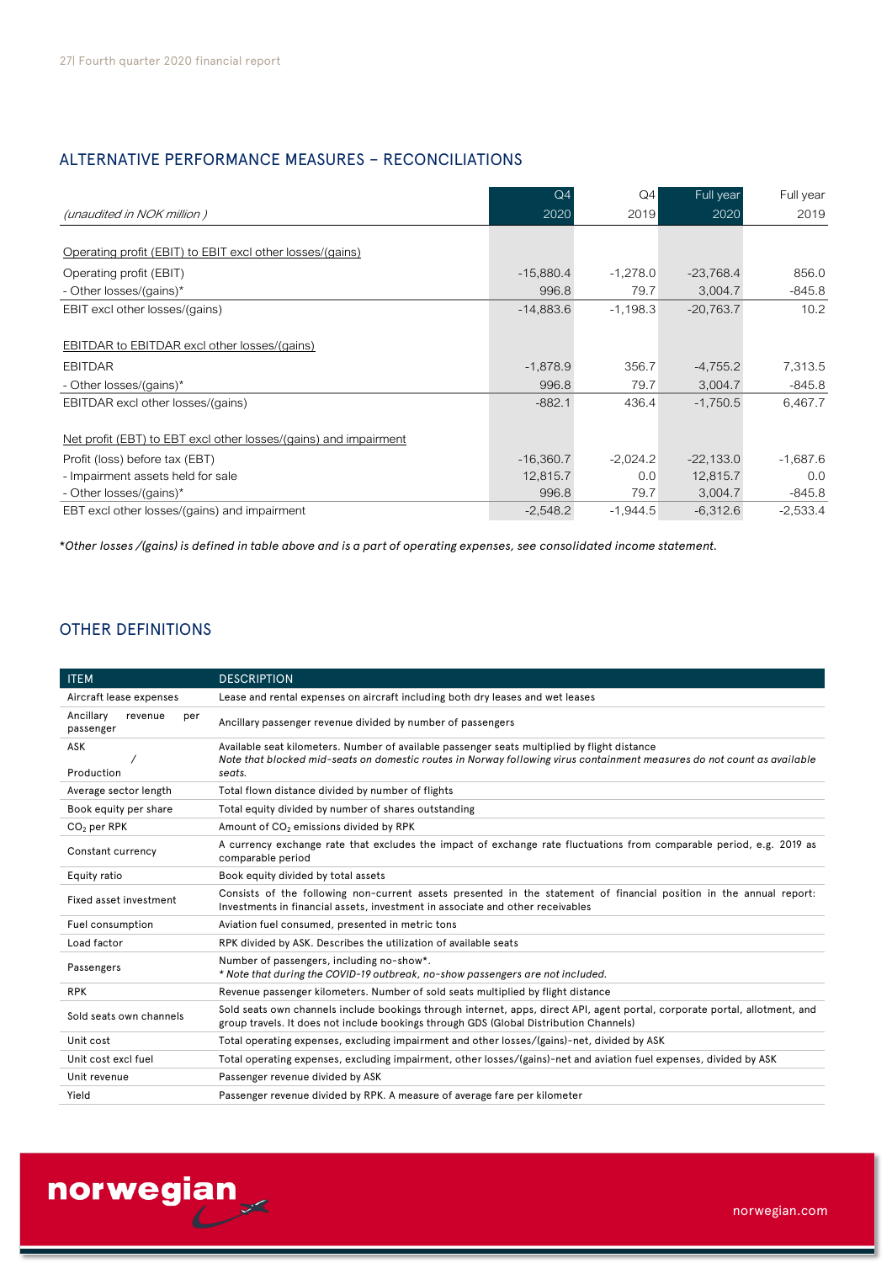# ALTERNATIVE PERFORMANCE MEASURES – RECONCILIATIONS

|                                                                  | Q <sub>4</sub> | Q4         | Full year   | Full year  |
|------------------------------------------------------------------|----------------|------------|-------------|------------|
| (unaudited in NOK million)                                       | 2020           | 2019       | 2020        | 2019       |
|                                                                  |                |            |             |            |
| Operating profit (EBIT) to EBIT excl other losses/(gains)        |                |            |             |            |
| Operating profit (EBIT)                                          | $-15,880.4$    | $-1,278.0$ | $-23,768.4$ | 856.0      |
| - Other losses/(gains)*                                          | 996.8          | 79.7       | 3,004.7     | $-845.8$   |
| EBIT excl other losses/(gains)                                   | $-14,883.6$    | $-1.198.3$ | $-20,763.7$ | 10.2       |
|                                                                  |                |            |             |            |
| EBITDAR to EBITDAR excl other losses/(gains)                     |                |            |             |            |
| <b>EBITDAR</b>                                                   | $-1,878.9$     | 356.7      | $-4,755.2$  | 7,313.5    |
| - Other losses/(gains)*                                          | 996.8          | 79.7       | 3,004.7     | $-845.8$   |
| EBITDAR excl other losses/(gains)                                | $-882.1$       | 436.4      | $-1,750.5$  | 6,467.7    |
|                                                                  |                |            |             |            |
| Net profit (EBT) to EBT excl other losses/(gains) and impairment |                |            |             |            |
| Profit (loss) before tax (EBT)                                   | $-16,360.7$    | $-2,024.2$ | $-22,133.0$ | $-1,687.6$ |
| - Impairment assets held for sale                                | 12,815.7       | 0.0        | 12,815.7    | 0.0        |
| - Other losses/(gains)*                                          | 996.8          | 79.7       | 3,004.7     | $-845.8$   |
| EBT excl other losses/(gains) and impairment                     | $-2,548.2$     | $-1,944.5$ | $-6,312.6$  | $-2,533.4$ |

\**Other losses /(gains) is defined in table above and is a part of operating expenses, see consolidated income statement.* 

# OTHER DEFINITIONS

| <b>ITEM</b>                              | <b>DESCRIPTION</b>                                                                                                                                                                                                                |
|------------------------------------------|-----------------------------------------------------------------------------------------------------------------------------------------------------------------------------------------------------------------------------------|
| Aircraft lease expenses                  | Lease and rental expenses on aircraft including both dry leases and wet leases                                                                                                                                                    |
| Ancillary<br>revenue<br>per<br>passenger | Ancillary passenger revenue divided by number of passengers                                                                                                                                                                       |
| ASK<br>Production                        | Available seat kilometers. Number of available passenger seats multiplied by flight distance<br>Note that blocked mid-seats on domestic routes in Norway following virus containment measures do not count as available<br>seats. |
| Average sector length                    | Total flown distance divided by number of flights                                                                                                                                                                                 |
| Book equity per share                    | Total equity divided by number of shares outstanding                                                                                                                                                                              |
| $CO2$ per RPK                            | Amount of CO <sub>2</sub> emissions divided by RPK                                                                                                                                                                                |
| Constant currency                        | A currency exchange rate that excludes the impact of exchange rate fluctuations from comparable period, e.g. 2019 as<br>comparable period                                                                                         |
| Equity ratio                             | Book equity divided by total assets                                                                                                                                                                                               |
| Fixed asset investment                   | Consists of the following non-current assets presented in the statement of financial position in the annual report:<br>Investments in financial assets, investment in associate and other receivables                             |
| Fuel consumption                         | Aviation fuel consumed, presented in metric tons                                                                                                                                                                                  |
| Load factor                              | RPK divided by ASK. Describes the utilization of available seats                                                                                                                                                                  |
| Passengers                               | Number of passengers, including no-show*.<br>* Note that during the COVID-19 outbreak, no-show passengers are not included.                                                                                                       |
| <b>RPK</b>                               | Revenue passenger kilometers. Number of sold seats multiplied by flight distance                                                                                                                                                  |
| Sold seats own channels                  | Sold seats own channels include bookings through internet, apps, direct API, agent portal, corporate portal, allotment, and<br>group travels. It does not include bookings through GDS (Global Distribution Channels)             |
| Unit cost                                | Total operating expenses, excluding impairment and other losses/(gains)-net, divided by ASK                                                                                                                                       |
| Unit cost excl fuel                      | Total operating expenses, excluding impairment, other losses/(gains)-net and aviation fuel expenses, divided by ASK                                                                                                               |
| Unit revenue                             | Passenger revenue divided by ASK                                                                                                                                                                                                  |
| Yield                                    | Passenger revenue divided by RPK. A measure of average fare per kilometer                                                                                                                                                         |